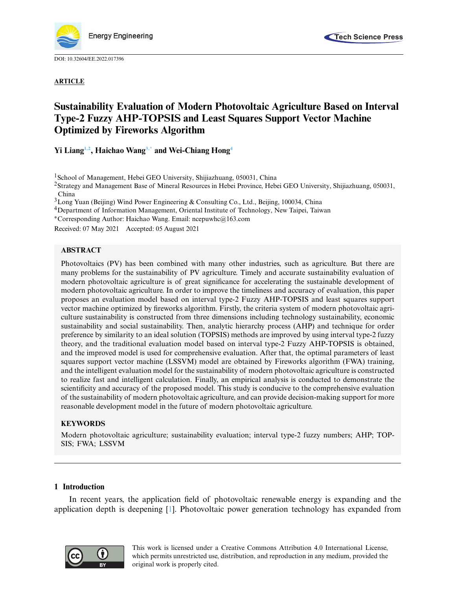

DOI: [10.32604/EE.2022.017396](http://dx.doi.org/10.32604/EE.2022.017396)

## **ARTICLE**



# **Sustainability Evaluation of Modern Photovoltaic Agriculture Based on Interval Type-2 Fuzzy AHP-TOPSIS and Least Squares Support Vector Machine Optimized by Fireworks Algorithm**

**Yi Lian[g1](#page-0-0)[,2,](#page-0-1) Haichao Wan[g3,](#page-0-2)[\\*](#page-0-3) and Wei-Chiang Hon[g4](#page-0-4)**

<span id="page-0-0"></span><sup>1</sup> School of Management, Hebei GEO University, Shijiazhuang, 050031, China

<span id="page-0-1"></span>2Strategy and Management Base of Mineral Resources in Hebei Province, Hebei GEO University, Shijiazhuang, 050031, China

<span id="page-0-2"></span>3Long Yuan (Beijing) Wind Power Engineering & Consulting Co., Ltd., Beijing, 100034, China

<span id="page-0-4"></span>4Department of Information Management, Oriental Institute of Technology, New Taipei, Taiwan

<span id="page-0-3"></span><sup>∗</sup>Corresponding Author: Haichao Wang. Email: ncepuwhc@163.com

Received: 07 May 2021 Accepted: 05 August 2021

# **ABSTRACT**

Photovoltaics (PV) has been combined with many other industries, such as agriculture. But there are many problems for the sustainability of PV agriculture. Timely and accurate sustainability evaluation of modern photovoltaic agriculture is of great significance for accelerating the sustainable development of modern photovoltaic agriculture. In order to improve the timeliness and accuracy of evaluation, this paper proposes an evaluation model based on interval type-2 Fuzzy AHP-TOPSIS and least squares support vector machine optimized by fireworks algorithm. Firstly, the criteria system of modern photovoltaic agriculture sustainability is constructed from three dimensions including technology sustainability, economic sustainability and social sustainability. Then, analytic hierarchy process (AHP) and technique for order preference by similarity to an ideal solution (TOPSIS) methods are improved by using interval type-2 fuzzy theory, and the traditional evaluation model based on interval type-2 Fuzzy AHP-TOPSIS is obtained, and the improved model is used for comprehensive evaluation. After that, the optimal parameters of least squares support vector machine (LSSVM) model are obtained by Fireworks algorithm (FWA) training, and the intelligent evaluation model for the sustainability of modern photovoltaic agriculture is constructed to realize fast and intelligent calculation. Finally, an empirical analysis is conducted to demonstrate the scientificity and accuracy of the proposed model. This study is conducive to the comprehensive evaluation of the sustainability of modern photovoltaic agriculture, and can provide decision-making support for more reasonable development model in the future of modern photovoltaic agriculture.

# **KEYWORDS**

Modern photovoltaic agriculture; sustainability evaluation; interval type-2 fuzzy numbers; AHP; TOP-SIS; FWA; LSSVM

# **1 Introduction**

In recent years, the application field of photovoltaic renewable energy is expanding and the application depth is deepening [\[1\]](#page-23-0). Photovoltaic power generation technology has expanded from

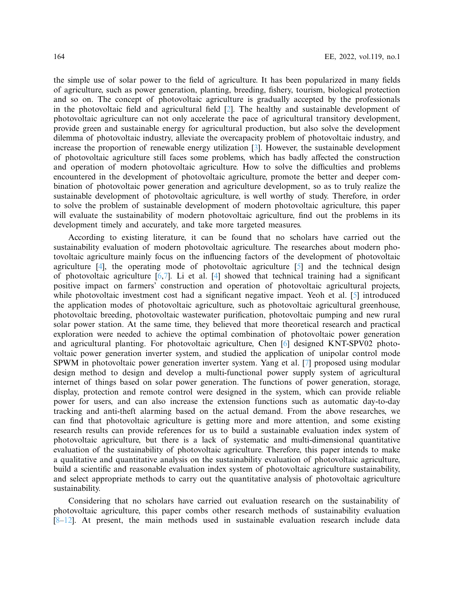the simple use of solar power to the field of agriculture. It has been popularized in many fields of agriculture, such as power generation, planting, breeding, fishery, tourism, biological protection and so on. The concept of photovoltaic agriculture is gradually accepted by the professionals in the photovoltaic field and agricultural field [\[2\]](#page-23-1). The healthy and sustainable development of photovoltaic agriculture can not only accelerate the pace of agricultural transitory development, provide green and sustainable energy for agricultural production, but also solve the development dilemma of photovoltaic industry, alleviate the overcapacity problem of photovoltaic industry, and increase the proportion of renewable energy utilization [\[3\]](#page-23-2). However, the sustainable development of photovoltaic agriculture still faces some problems, which has badly affected the construction and operation of modern photovoltaic agriculture. How to solve the difficulties and problems encountered in the development of photovoltaic agriculture, promote the better and deeper combination of photovoltaic power generation and agriculture development, so as to truly realize the sustainable development of photovoltaic agriculture, is well worthy of study. Therefore, in order to solve the problem of sustainable development of modern photovoltaic agriculture, this paper will evaluate the sustainability of modern photovoltaic agriculture, find out the problems in its development timely and accurately, and take more targeted measures.

According to existing literature, it can be found that no scholars have carried out the sustainability evaluation of modern photovoltaic agriculture. The researches about modern photovoltaic agriculture mainly focus on the influencing factors of the development of photovoltaic agriculture [\[4\]](#page-23-3), the operating mode of photovoltaic agriculture [\[5](#page-23-4)] and the technical design of photovoltaic agriculture  $[6,7]$  $[6,7]$  $[6,7]$ . Li et al.  $[4]$  showed that technical training had a significant positive impact on farmers' construction and operation of photovoltaic agricultural projects, while photovoltaic investment cost had a significant negative impact. Yeoh et al. [\[5\]](#page-23-4) introduced the application modes of photovoltaic agriculture, such as photovoltaic agricultural greenhouse, photovoltaic breeding, photovoltaic wastewater purification, photovoltaic pumping and new rural solar power station. At the same time, they believed that more theoretical research and practical exploration were needed to achieve the optimal combination of photovoltaic power generation and agricultural planting. For photovoltaic agriculture, Chen [\[6\]](#page-23-5) designed KNT-SPV02 photovoltaic power generation inverter system, and studied the application of unipolar control mode SPWM in photovoltaic power generation inverter system. Yang et al. [\[7\]](#page-23-6) proposed using modular design method to design and develop a multi-functional power supply system of agricultural internet of things based on solar power generation. The functions of power generation, storage, display, protection and remote control were designed in the system, which can provide reliable power for users, and can also increase the extension functions such as automatic day-to-day tracking and anti-theft alarming based on the actual demand. From the above researches, we can find that photovoltaic agriculture is getting more and more attention, and some existing research results can provide references for us to build a sustainable evaluation index system of photovoltaic agriculture, but there is a lack of systematic and multi-dimensional quantitative evaluation of the sustainability of photovoltaic agriculture. Therefore, this paper intends to make a qualitative and quantitative analysis on the sustainability evaluation of photovoltaic agriculture, build a scientific and reasonable evaluation index system of photovoltaic agriculture sustainability, and select appropriate methods to carry out the quantitative analysis of photovoltaic agriculture sustainability.

Considering that no scholars have carried out evaluation research on the sustainability of photovoltaic agriculture, this paper combs other research methods of sustainability evaluation  $[8-12]$  $[8-12]$ . At present, the main methods used in sustainable evaluation research include data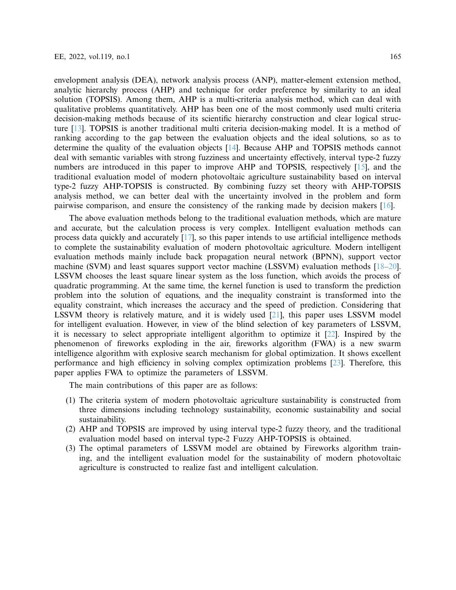envelopment analysis (DEA), network analysis process (ANP), matter-element extension method, analytic hierarchy process (AHP) and technique for order preference by similarity to an ideal solution (TOPSIS). Among them, AHP is a multi-criteria analysis method, which can deal with qualitative problems quantitatively. AHP has been one of the most commonly used multi criteria decision-making methods because of its scientific hierarchy construction and clear logical structure [\[13\]](#page-23-9). TOPSIS is another traditional multi criteria decision-making model. It is a method of ranking according to the gap between the evaluation objects and the ideal solutions, so as to determine the quality of the evaluation objects [\[14](#page-23-10)]. Because AHP and TOPSIS methods cannot deal with semantic variables with strong fuzziness and uncertainty effectively, interval type-2 fuzzy numbers are introduced in this paper to improve AHP and TOPSIS, respectively [\[15](#page-24-0)], and the traditional evaluation model of modern photovoltaic agriculture sustainability based on interval type-2 fuzzy AHP-TOPSIS is constructed. By combining fuzzy set theory with AHP-TOPSIS analysis method, we can better deal with the uncertainty involved in the problem and form pairwise comparison, and ensure the consistency of the ranking made by decision makers [\[16\]](#page-24-1).

The above evaluation methods belong to the traditional evaluation methods, which are mature and accurate, but the calculation process is very complex. Intelligent evaluation methods can process data quickly and accurately [\[17\]](#page-24-2), so this paper intends to use artificial intelligence methods to complete the sustainability evaluation of modern photovoltaic agriculture. Modern intelligent evaluation methods mainly include back propagation neural network (BPNN), support vector machine (SVM) and least squares support vector machine (LSSVM) evaluation methods [\[18](#page-24-3)[–20\]](#page-24-4). LSSVM chooses the least square linear system as the loss function, which avoids the process of quadratic programming. At the same time, the kernel function is used to transform the prediction problem into the solution of equations, and the inequality constraint is transformed into the equality constraint, which increases the accuracy and the speed of prediction. Considering that LSSVM theory is relatively mature, and it is widely used [\[21](#page-24-5)], this paper uses LSSVM model for intelligent evaluation. However, in view of the blind selection of key parameters of LSSVM, it is necessary to select appropriate intelligent algorithm to optimize it [\[22](#page-24-6)]. Inspired by the phenomenon of fireworks exploding in the air, fireworks algorithm (FWA) is a new swarm intelligence algorithm with explosive search mechanism for global optimization. It shows excellent performance and high efficiency in solving complex optimization problems [\[23\]](#page-24-7). Therefore, this paper applies FWA to optimize the parameters of LSSVM.

The main contributions of this paper are as follows:

- (1) The criteria system of modern photovoltaic agriculture sustainability is constructed from three dimensions including technology sustainability, economic sustainability and social sustainability.
- (2) AHP and TOPSIS are improved by using interval type-2 fuzzy theory, and the traditional evaluation model based on interval type-2 Fuzzy AHP-TOPSIS is obtained.
- (3) The optimal parameters of LSSVM model are obtained by Fireworks algorithm training, and the intelligent evaluation model for the sustainability of modern photovoltaic agriculture is constructed to realize fast and intelligent calculation.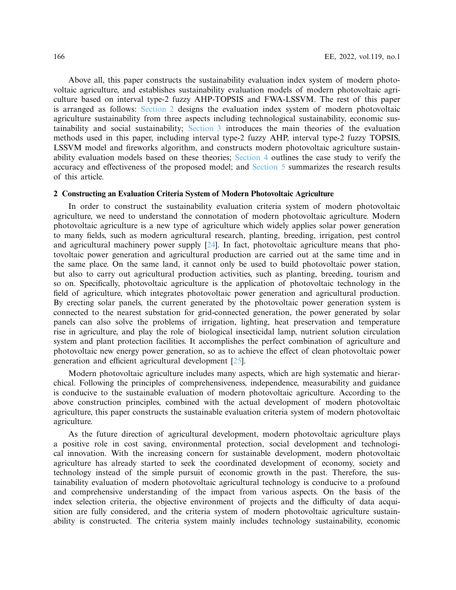Above all, this paper constructs the sustainability evaluation index system of modern photovoltaic agriculture, and establishes sustainability evaluation models of modern photovoltaic agriculture based on interval type-2 fuzzy AHP-TOPSIS and FWA-LSSVM. The rest of this paper is arranged as follows: [Section 2](#page-3-0) designs the evaluation index system of modern photovoltaic agriculture sustainability from three aspects including technological sustainability, economic sustainability and social sustainability; [Section 3](#page-4-0) introduces the main theories of the evaluation methods used in this paper, including interval type-2 fuzzy AHP, interval type-2 fuzzy TOPSIS, LSSVM model and fireworks algorithm, and constructs modern photovoltaic agriculture sustainability evaluation models based on these theories; [Section 4](#page-13-0) outlines the case study to verify the accuracy and effectiveness of the proposed model; and [Section 5](#page-22-0) summarizes the research results of this article.

## <span id="page-3-0"></span>**2 Constructing an Evaluation Criteria System of Modern Photovoltaic Agriculture**

In order to construct the sustainability evaluation criteria system of modern photovoltaic agriculture, we need to understand the connotation of modern photovoltaic agriculture. Modern photovoltaic agriculture is a new type of agriculture which widely applies solar power generation to many fields, such as modern agricultural research, planting, breeding, irrigation, pest control and agricultural machinery power supply [\[24](#page-24-8)]. In fact, photovoltaic agriculture means that photovoltaic power generation and agricultural production are carried out at the same time and in the same place. On the same land, it cannot only be used to build photovoltaic power station, but also to carry out agricultural production activities, such as planting, breeding, tourism and so on. Specifically, photovoltaic agriculture is the application of photovoltaic technology in the field of agriculture, which integrates photovoltaic power generation and agricultural production. By erecting solar panels, the current generated by the photovoltaic power generation system is connected to the nearest substation for grid-connected generation, the power generated by solar panels can also solve the problems of irrigation, lighting, heat preservation and temperature rise in agriculture, and play the role of biological insecticidal lamp, nutrient solution circulation system and plant protection facilities. It accomplishes the perfect combination of agriculture and photovoltaic new energy power generation, so as to achieve the effect of clean photovoltaic power generation and efficient agricultural development [\[25](#page-24-9)].

Modern photovoltaic agriculture includes many aspects, which are high systematic and hierarchical. Following the principles of comprehensiveness, independence, measurability and guidance is conducive to the sustainable evaluation of modern photovoltaic agriculture. According to the above construction principles, combined with the actual development of modern photovoltaic agriculture, this paper constructs the sustainable evaluation criteria system of modern photovoltaic agriculture.

As the future direction of agricultural development, modern photovoltaic agriculture plays a positive role in cost saving, environmental protection, social development and technological innovation. With the increasing concern for sustainable development, modern photovoltaic agriculture has already started to seek the coordinated development of economy, society and technology instead of the simple pursuit of economic growth in the past. Therefore, the sustainability evaluation of modern photovoltaic agricultural technology is conducive to a profound and comprehensive understanding of the impact from various aspects. On the basis of the index selection criteria, the objective environment of projects and the difficulty of data acquisition are fully considered, and the criteria system of modern photovoltaic agriculture sustainability is constructed. The criteria system mainly includes technology sustainability, economic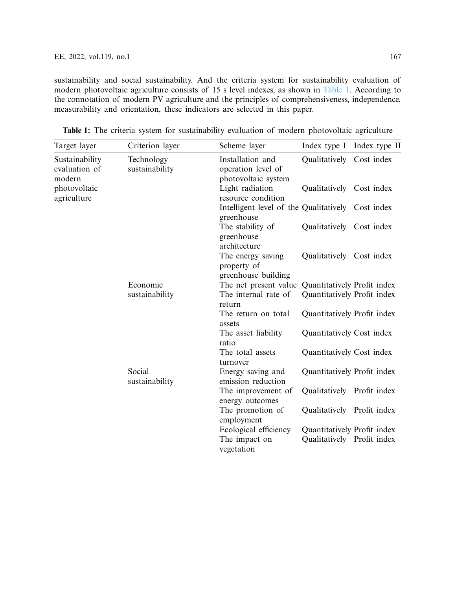sustainability and social sustainability. And the criteria system for sustainability evaluation of modern photovoltaic agriculture consists of 15 s level indexes, as shown in [Table 1.](#page-4-1) According to the connotation of modern PV agriculture and the principles of comprehensiveness, independence, measurability and orientation, these indicators are selected in this paper.

<span id="page-4-0"></span>

| Target layer                              | Criterion layer              | Scheme layer                                                    | Index type I Index type II  |  |
|-------------------------------------------|------------------------------|-----------------------------------------------------------------|-----------------------------|--|
| Sustainability<br>evaluation of<br>modern | Technology<br>sustainability | Installation and<br>operation level of<br>photovoltaic system   | Qualitatively Cost index    |  |
| photovoltaic<br>agriculture               |                              | Light radiation<br>resource condition                           | Qualitatively Cost index    |  |
|                                           |                              | Intelligent level of the Qualitatively Cost index<br>greenhouse |                             |  |
|                                           |                              | The stability of<br>greenhouse<br>architecture                  | Qualitatively Cost index    |  |
|                                           |                              | The energy saving<br>property of<br>greenhouse building         | Qualitatively Cost index    |  |
|                                           | Economic                     | The net present value Quantitatively Profit index               |                             |  |
|                                           | sustainability               | The internal rate of<br>return                                  | Quantitatively Profit index |  |
|                                           |                              | The return on total<br>assets                                   | Quantitatively Profit index |  |
|                                           |                              | The asset liability<br>ratio                                    | Quantitatively Cost index   |  |
|                                           |                              | The total assets<br>turnover                                    | Quantitatively Cost index   |  |
|                                           | Social<br>sustainability     | Energy saving and<br>emission reduction                         | Quantitatively Profit index |  |
|                                           |                              | The improvement of<br>energy outcomes                           | Qualitatively Profit index  |  |
|                                           |                              | The promotion of<br>employment                                  | Qualitatively Profit index  |  |
|                                           |                              | Ecological efficiency                                           | Quantitatively Profit index |  |
|                                           |                              | The impact on<br>vegetation                                     | Qualitatively Profit index  |  |

<span id="page-4-1"></span>**Table 1:** The criteria system for sustainability evaluation of modern photovoltaic agriculture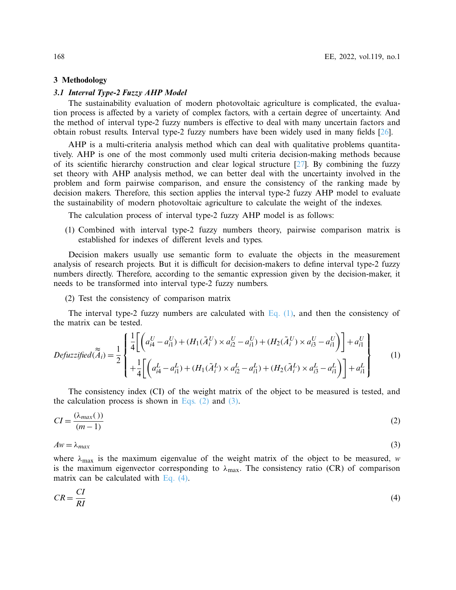#### **3 Methodology**

#### *3.1 Interval Type-2 Fuzzy AHP Model*

The sustainability evaluation of modern photovoltaic agriculture is complicated, the evaluation process is affected by a variety of complex factors, with a certain degree of uncertainty. And the method of interval type-2 fuzzy numbers is effective to deal with many uncertain factors and obtain robust results. Interval type-2 fuzzy numbers have been widely used in many fields [\[26](#page-24-10)].

AHP is a multi-criteria analysis method which can deal with qualitative problems quantitatively. AHP is one of the most commonly used multi criteria decision-making methods because of its scientific hierarchy construction and clear logical structure [\[27](#page-24-11)]. By combining the fuzzy set theory with AHP analysis method, we can better deal with the uncertainty involved in the problem and form pairwise comparison, and ensure the consistency of the ranking made by decision makers. Therefore, this section applies the interval type-2 fuzzy AHP model to evaluate the sustainability of modern photovoltaic agriculture to calculate the weight of the indexes.

The calculation process of interval type-2 fuzzy AHP model is as follows:

(1) Combined with interval type-2 fuzzy numbers theory, pairwise comparison matrix is established for indexes of different levels and types.

Decision makers usually use semantic form to evaluate the objects in the measurement analysis of research projects. But it is difficult for decision-makers to define interval type-2 fuzzy numbers directly. Therefore, according to the semantic expression given by the decision-maker, it needs to be transformed into interval type-2 fuzzy numbers.

<span id="page-5-0"></span>(2) Test the consistency of comparison matrix

The interval type-2 fuzzy numbers are calculated with Eq.  $(1)$ , and then the consistency of the matrix can be tested.

$$
Defuzzified(\widetilde{A}_{i}) = \frac{1}{2} \begin{cases} \frac{1}{4} \Biggl[ \left( a_{i4}^{U} - a_{i1}^{U} \right) + \left( H_{1}(\tilde{A}_{i}^{U}) \times a_{i2}^{U} - a_{i1}^{U} \right) + \left( H_{2}(\tilde{A}_{i}^{U}) \times a_{i3}^{U} - a_{i1}^{U} \right) \Biggr] + a_{i1}^{U} \\ + \frac{1}{4} \Biggl[ \left( a_{i4}^{L} - a_{i1}^{L} \right) + \left( H_{1}(\tilde{A}_{i}^{L}) \times a_{i2}^{L} - a_{i1}^{L} \right) + \left( H_{2}(\tilde{A}_{i}^{L}) \times a_{i3}^{L} - a_{i1}^{L} \right) \Biggr] + a_{i1}^{L} \end{cases}
$$
\n
$$
(1)
$$

The consistency index (CI) of the weight matrix of the object to be measured is tested, and the calculation process is shown in Eqs.  $(2)$  and  $(3)$ .

<span id="page-5-1"></span>
$$
CI = \frac{(\lambda_{max}())}{(m-1)}
$$
 (2)

<span id="page-5-2"></span> $A w = \lambda_{max}$  (3)

where  $\lambda_{\text{max}}$  is the maximum eigenvalue of the weight matrix of the object to be measured, *w* is the maximum eigenvector corresponding to  $\lambda_{\text{max}}$ . The consistency ratio (CR) of comparison matrix can be calculated with [Eq. \(4\).](#page-5-3)

<span id="page-5-3"></span>
$$
CR = \frac{CI}{RI} \tag{4}
$$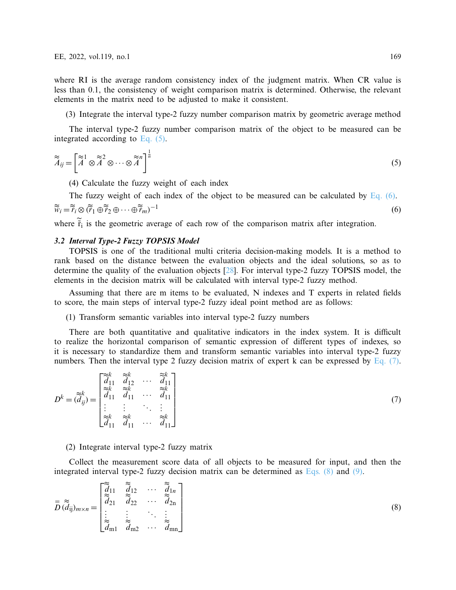where RI is the average random consistency index of the judgment matrix. When CR value is less than 0.1, the consistency of weight comparison matrix is determined. Otherwise, the relevant elements in the matrix need to be adjusted to make it consistent.

<span id="page-6-0"></span>(3) Integrate the interval type-2 fuzzy number comparison matrix by geometric average method

The interval type-2 fuzzy number comparison matrix of the object to be measured can be integrated according to [Eq. \(5\).](#page-6-0)

$$
\widetilde{\widetilde{A}}_{ij} = \left[ \widetilde{\widetilde{A}}^1 \otimes \widetilde{\widetilde{A}}^2 \otimes \cdots \otimes \widetilde{\widetilde{A}}^n \right]^{\frac{1}{n}}
$$
\n(5)

<span id="page-6-1"></span>(4) Calculate the fuzzy weight of each index

The fuzzy weight of each index of the object to be measured can be calculated by Eq.  $(6)$ .  $\widetilde{w}_i = \widetilde{r}_i \otimes (\widetilde{r}_1 \oplus \widetilde{r}_2 \oplus \cdots \oplus \widetilde{r}_m)$  $^{-1}$  (6)

where  $\tilde{r}_i$  is the geometric average of each row of the comparison matrix after integration.

## *3.2 Interval Type-2 Fuzzy TOPSIS Model*

TOPSIS is one of the traditional multi criteria decision-making models. It is a method to rank based on the distance between the evaluation objects and the ideal solutions, so as to determine the quality of the evaluation objects [\[28](#page-24-12)]. For interval type-2 fuzzy TOPSIS model, the elements in the decision matrix will be calculated with interval type-2 fuzzy method.

Assuming that there are m items to be evaluated, N indexes and T experts in related fields to score, the main steps of interval type-2 fuzzy ideal point method are as follows:

<span id="page-6-2"></span>(1) Transform semantic variables into interval type-2 fuzzy numbers

There are both quantitative and qualitative indicators in the index system. It is difficult to realize the horizontal comparison of semantic expression of different types of indexes, so it is necessary to standardize them and transform semantic variables into interval type-2 fuzzy numbers. Then the interval type 2 fuzzy decision matrix of expert k can be expressed by Eq.  $(7)$ .

$$
D^{k} = (\widetilde{\vec{d}}_{ij}^{k}) = \begin{bmatrix} \widetilde{\vec{d}}_{11}^{k} & \widetilde{\vec{d}}_{12}^{k} & \cdots & \widetilde{\vec{d}}_{11}^{k} \\ \widetilde{\vec{d}}_{11}^{k} & \widetilde{\vec{d}}_{11}^{k} & \cdots & \widetilde{\vec{d}}_{11}^{k} \\ \vdots & \vdots & \ddots & \vdots \\ \widetilde{\vec{d}}_{11}^{k} & \widetilde{\vec{d}}_{11}^{k} & \cdots & \widetilde{\vec{d}}_{11}^{k} \end{bmatrix}
$$
\n(7)

<span id="page-6-3"></span>(2) Integrate interval type-2 fuzzy matrix

Collect the measurement score data of all objects to be measured for input, and then the integrated interval type-2 fuzzy decision matrix can be determined as [Eqs. \(8\)](#page-6-3) and [\(9\).](#page-7-0)

$$
\overline{D}(\widetilde{d}_{ij})_{m \times n} = \begin{bmatrix} \widetilde{\widetilde{d}}_{11} & \widetilde{\widetilde{d}}_{12} & \cdots & \widetilde{\widetilde{d}}_{1n} \\ \widetilde{\widetilde{d}}_{21} & \widetilde{\widetilde{d}}_{22} & \cdots & \widetilde{\widetilde{d}}_{2n} \\ \vdots & \vdots & \ddots & \vdots \\ \widetilde{\widetilde{d}}_{m1} & \widetilde{d}_{m2} & \cdots & \widetilde{\widetilde{d}}_{mn} \end{bmatrix}
$$
\n(8)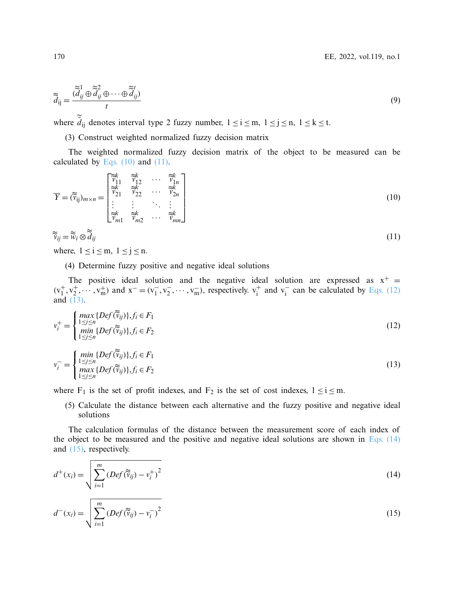<span id="page-7-0"></span>
$$
\widetilde{d}_{ij} = \frac{\widetilde{d}_{ij}^1 \oplus \widetilde{d}_{ij}^2 \oplus \cdots \oplus \widetilde{d}_{ij}^t)}{t}
$$
\n(9)

where  $\tilde{d}_{ij}$  denotes interval type 2 fuzzy number,  $1 \le i \le m$ ,  $1 \le j \le n$ ,  $1 \le k \le t$ .

<span id="page-7-1"></span>(3) Construct weighted normalized fuzzy decision matrix

The weighted normalized fuzzy decision matrix of the object to be measured can be calculated by Eqs.  $(10)$  and  $(11)$ .

$$
\overline{Y} = (\widetilde{v}_{ij})_{m \times n} = \begin{bmatrix} \widetilde{v}_{11}^k & \widetilde{v}_{12}^k & \cdots & \widetilde{v}_{1n}^k \\ \widetilde{v}_{21}^k & \widetilde{v}_{22}^k & \cdots & \widetilde{v}_{2n}^k \\ \vdots & \vdots & \ddots & \vdots \\ \widetilde{v}_{m1}^k & \widetilde{v}_{m2}^k & \cdots & \widetilde{v}_{mn}^k \end{bmatrix}
$$
\n(10)

<span id="page-7-2"></span>
$$
\widetilde{\widetilde{v}}_{ij} = \widetilde{\widetilde{w}}_i \otimes \widetilde{\widetilde{d}}_{ij} \tag{11}
$$

where,  $1 \le i \le m$ ,  $1 \le j \le n$ .

(4) Determine fuzzy positive and negative ideal solutions

The positive ideal solution and the negative ideal solution are expressed as  $x^+$  =  $(v_1^+, v_2^+, \dots, v_m^+)$  and  $x^- = (v_1^-, v_2^-, \dots, v_m^-)$ , respectively.  $v_i^+$  and  $v_i^-$  can be calculated by [Eqs. \(12\)](#page-7-3) and  $(\overline{1}3)$ .

<span id="page-7-3"></span>
$$
v_i^+ = \begin{cases} \max_{1 \le j \le n} \{Def(\widetilde{v}_{ij})\}, f_i \in F_1 \\ \min_{1 \le j \le n} \{Def(\widetilde{v}_{ij})\}, f_i \in F_2 \end{cases} \tag{12}
$$

<span id="page-7-4"></span>
$$
v_i^- = \begin{cases} \min_{1 \le j \le n} \{Def(\widetilde{v}_{ij})\}, f_i \in F_1 \\ \max_{1 \le j \le n} \{Def(\widetilde{v}_{ij})\}, f_i \in F_2 \end{cases} \tag{13}
$$

where  $F_1$  is the set of profit indexes, and  $F_2$  is the set of cost indexes,  $1 \le i \le m$ .

(5) Calculate the distance between each alternative and the fuzzy positive and negative ideal solutions

The calculation formulas of the distance between the measurement score of each index of the object to be measured and the positive and negative ideal solutions are shown in Eqs.  $(14)$ and [\(15\),](#page-7-6) respectively.

<span id="page-7-5"></span>
$$
d^+(x_i) = \sqrt{\sum_{i=1}^m \left(Def(\widetilde{v}_{ij}) - v_i^+\right)^2}
$$
\n(14)

<span id="page-7-6"></span>
$$
d^{-}(x_i) = \sqrt{\sum_{i=1}^{m} \left( Def(\widetilde{v}_{ij}) - v_i^{-} \right)^2}
$$
\n(15)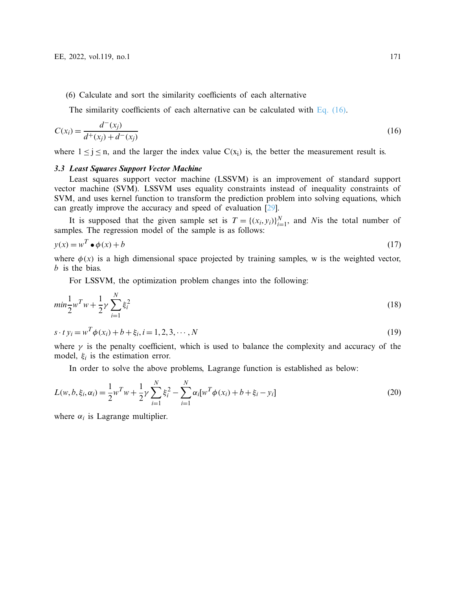# (6) Calculate and sort the similarity coefficients of each alternative

<span id="page-8-0"></span>The similarity coefficients of each alternative can be calculated with [Eq. \(16\).](#page-8-0)

$$
C(x_i) = \frac{d^-(x_i)}{d^+(x_i) + d^-(x_i)}
$$
\n(16)

where  $1 \le j \le n$ , and the larger the index value  $C(x_i)$  is, the better the measurement result is.

#### *3.3 Least Squares Support Vector Machine*

Least squares support vector machine (LSSVM) is an improvement of standard support vector machine (SVM). LSSVM uses equality constraints instead of inequality constraints of SVM, and uses kernel function to transform the prediction problem into solving equations, which can greatly improve the accuracy and speed of evaluation [\[29\]](#page-24-13).

It is supposed that the given sample set is  $T = \{(x_i, y_i)\}_{i=1}^N$ , and *N* is the total number of samples. The regression model of the sample is as follows:

$$
y(x) = w^T \bullet \phi(x) + b \tag{17}
$$

where  $\phi(x)$  is a high dimensional space projected by training samples, w is the weighted vector, *b* is the bias.

For LSSVM, the optimization problem changes into the following:

$$
min\frac{1}{2}w^T w + \frac{1}{2}\gamma \sum_{i=1}^N \xi_i^2
$$
\n(18)

$$
s \cdot t \, y_i = w^T \phi(x_i) + b + \xi_i, i = 1, 2, 3, \cdots, N \tag{19}
$$

where  $\gamma$  is the penalty coefficient, which is used to balance the complexity and accuracy of the model,  $\xi_i$  is the estimation error.

In order to solve the above problems, Lagrange function is established as below:

$$
L(w, b, \xi_i, \alpha_i) = \frac{1}{2} w^T w + \frac{1}{2} \gamma \sum_{i=1}^N \xi_i^2 - \sum_{i=1}^N \alpha_i [w^T \phi(x_i) + b + \xi_i - y_i]
$$
(20)

where  $\alpha_i$  is Lagrange multiplier.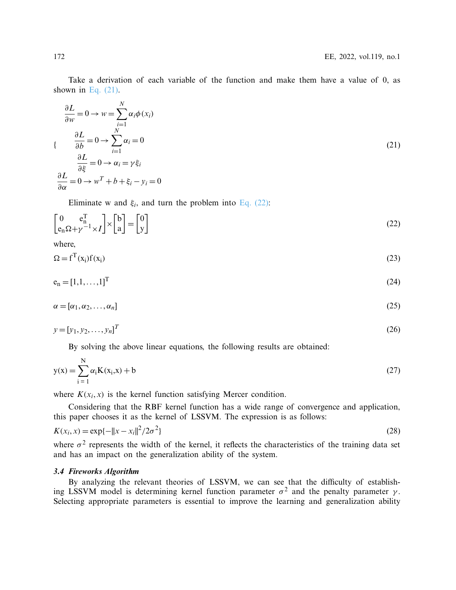Take a derivation of each variable of the function and make them have a value of 0, as shown in Eq.  $(21)$ .

<span id="page-9-0"></span>
$$
\frac{\partial L}{\partial w} = 0 \to w = \sum_{i=1}^{N} \alpha_i \phi(x_i)
$$
  

$$
\{\begin{aligned}\n\frac{\partial L}{\partial b} &= 0 \to \sum_{i=1}^{N} \alpha_i = 0 \\
\frac{\partial L}{\partial \xi} &= 0 \to \alpha_i = \gamma \xi_i\n\end{aligned}
$$
(21)  

$$
\frac{\partial L}{\partial \alpha} = 0 \to w^T + b + \xi_i - y_i = 0
$$

<span id="page-9-1"></span>Eliminate w and  $\xi_i$ , and turn the problem into [Eq. \(22\):](#page-9-1)

$$
\begin{bmatrix} 0 & e_n^T \\ e_n \Omega + \gamma^{-1} \times I \end{bmatrix} \times \begin{bmatrix} b \\ a \end{bmatrix} = \begin{bmatrix} 0 \\ y \end{bmatrix}
$$
 (22)

where,

$$
\Omega = f^{T}(x_{i})f(x_{i})
$$
\n(23)

$$
e_n = [1, 1, \dots, 1]^T
$$
 (24)

$$
\alpha = [\alpha_1, \alpha_2, \dots, \alpha_n] \tag{25}
$$

$$
y = [y_1, y_2, \dots, y_n]^T
$$
 (26)

By solving the above linear equations, the following results are obtained:

$$
y(x) = \sum_{i=1}^{N} \alpha_i K(x_i, x) + b
$$
 (27)

where  $K(x_i, x)$  is the kernel function satisfying Mercer condition.

Considering that the RBF kernel function has a wide range of convergence and application, this paper chooses it as the kernel of LSSVM. The expression is as follows:

$$
K(x_i, x) = \exp\{-\|x - x_i\|^2 / 2\sigma^2\}
$$
\n(28)

where  $\sigma^2$  represents the width of the kernel, it reflects the characteristics of the training data set and has an impact on the generalization ability of the system.

## *3.4 Fireworks Algorithm*

By analyzing the relevant theories of LSSVM, we can see that the difficulty of establishing LSSVM model is determining kernel function parameter  $\sigma^2$  and the penalty parameter  $\gamma$ . Selecting appropriate parameters is essential to improve the learning and generalization ability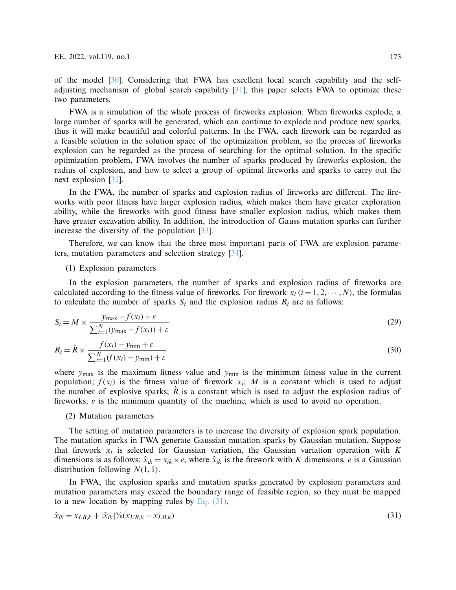of the model [\[30\]](#page-24-14). Considering that FWA has excellent local search capability and the selfadjusting mechanism of global search capability [\[31](#page-24-15)], this paper selects FWA to optimize these two parameters.

FWA is a simulation of the whole process of fireworks explosion. When fireworks explode, a large number of sparks will be generated, which can continue to explode and produce new sparks, thus it will make beautiful and colorful patterns. In the FWA, each firework can be regarded as a feasible solution in the solution space of the optimization problem, so the process of fireworks explosion can be regarded as the process of searching for the optimal solution. In the specific optimization problem, FWA involves the number of sparks produced by fireworks explosion, the radius of explosion, and how to select a group of optimal fireworks and sparks to carry out the next explosion [\[32\]](#page-25-0).

In the FWA, the number of sparks and explosion radius of fireworks are different. The fireworks with poor fitness have larger explosion radius, which makes them have greater exploration ability, while the fireworks with good fitness have smaller explosion radius, which makes them have greater excavation ability. In addition, the introduction of Gauss mutation sparks can further increase the diversity of the population [\[33\]](#page-25-1).

Therefore, we can know that the three most important parts of FWA are explosion parameters, mutation parameters and selection strategy [\[34](#page-25-2)].

## (1) Explosion parameters

In the explosion parameters, the number of sparks and explosion radius of fireworks are calculated according to the fitness value of fireworks. For firework  $x_i$  ( $i = 1, 2, \dots, N$ ), the formulas to calculate the number of sparks  $S_i$  and the explosion radius  $R_i$  are as follows:

$$
S_i = M \times \frac{y_{\text{max}} - f(x_i) + \varepsilon}{\sum_{i=1}^{N} (y_{\text{max}} - f(x_i)) + \varepsilon}
$$
\n(29)

$$
R_i = \hat{R} \times \frac{f(x_i) - y_{\min} + \varepsilon}{\sum_{i=1}^{N} (f(x_i) - y_{\min}) + \varepsilon}
$$
\n(30)

where  $y_{\text{max}}$  is the maximum fitness value and  $y_{\text{min}}$  is the minimum fitness value in the current population;  $f(x_i)$  is the fitness value of firework  $x_i$ ; *M* is a constant which is used to adjust the number of explosive sparks;  $R$  is a constant which is used to adjust the explosion radius of fireworks;  $\varepsilon$  is the minimum quantity of the machine, which is used to avoid no operation.

#### (2) Mutation parameters

The setting of mutation parameters is to increase the diversity of explosion spark population. The mutation sparks in FWA generate Gaussian mutation sparks by Gaussian mutation. Suppose that firework  $x_i$  is selected for Gaussian variation, the Gaussian variation operation with  $K$ dimensions is as follows:  $\hat{x}_{ik} = x_{ik} \times e$ , where  $\hat{x}_{ik}$  is the firework with *K* dimensions, *e* is a Gaussian distribution following *N*(1, 1).

In FWA, the explosion sparks and mutation sparks generated by explosion parameters and mutation parameters may exceed the boundary range of feasible region, so they must be mapped to a new location by mapping rules by [Eq. \(31\).](#page-10-0)

<span id="page-10-0"></span>
$$
\hat{x}_{ik} = x_{LB,k} + |\hat{x}_{ik}|^0 / (x_{UB,k} - x_{LB,k})
$$
\n(31)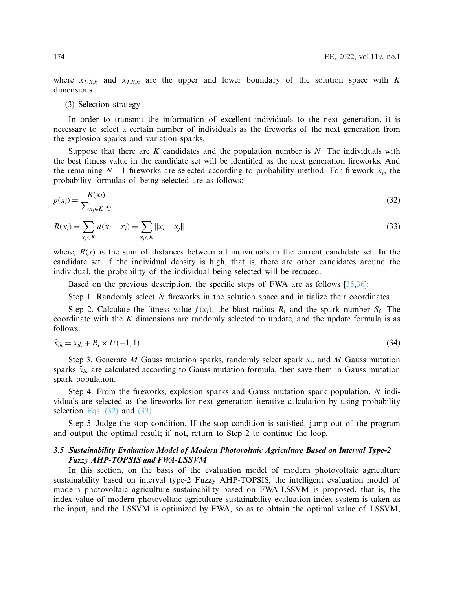where  $x_{UB,k}$  and  $x_{LB,k}$  are the upper and lower boundary of the solution space with *K* dimensions.

## (3) Selection strategy

In order to transmit the information of excellent individuals to the next generation, it is necessary to select a certain number of individuals as the fireworks of the next generation from the explosion sparks and variation sparks.

Suppose that there are *K* candidates and the population number is *N*. The individuals with the best fitness value in the candidate set will be identified as the next generation fireworks. And the remaining  $N-1$  fireworks are selected according to probability method. For firework  $x_i$ , the probability formulas of being selected are as follows:

<span id="page-11-0"></span>
$$
p(x_i) = \frac{R(x_i)}{\sum_{x_j \in K} x_j} \tag{32}
$$

<span id="page-11-1"></span>
$$
R(x_i) = \sum_{x_j \in K} d(x_i - x_j) = \sum_{x_j \in K} ||x_i - x_j||
$$
\n(33)

where,  $R(x)$  is the sum of distances between all individuals in the current candidate set. In the candidate set, if the individual density is high, that is, there are other candidates around the individual, the probability of the individual being selected will be reduced.

Based on the previous description, the specific steps of FWA are as follows [\[35](#page-25-3)[,36\]](#page-25-4):

Step 1. Randomly select *N* fireworks in the solution space and initialize their coordinates.

Step 2. Calculate the fitness value  $f(x_i)$ , the blast radius  $R_i$  and the spark number  $S_i$ . The coordinate with the *K* dimensions are randomly selected to update, and the update formula is as follows:

$$
\hat{x}_{ik} = x_{ik} + R_i \times U(-1, 1) \tag{34}
$$

Step 3. Generate *M* Gauss mutation sparks, randomly select spark *xi*, and *M* Gauss mutation sparks  $\hat{x}_{ik}$  are calculated according to Gauss mutation formula, then save them in Gauss mutation spark population.

Step 4. From the fireworks, explosion sparks and Gauss mutation spark population, *N* individuals are selected as the fireworks for next generation iterative calculation by using probability selection Eqs.  $(32)$  and  $(33)$ .

Step 5. Judge the stop condition. If the stop condition is satisfied, jump out of the program and output the optimal result; if not, return to Step 2 to continue the loop.

# *3.5 Sustainability Evaluation Model of Modern Photovoltaic Agriculture Based on Interval Type-2 Fuzzy AHP-TOPSIS and FWA-LSSVM*

In this section, on the basis of the evaluation model of modern photovoltaic agriculture sustainability based on interval type-2 Fuzzy AHP-TOPSIS, the intelligent evaluation model of modern photovoltaic agriculture sustainability based on FWA-LSSVM is proposed, that is, the index value of modern photovoltaic agriculture sustainability evaluation index system is taken as the input, and the LSSVM is optimized by FWA, so as to obtain the optimal value of LSSVM,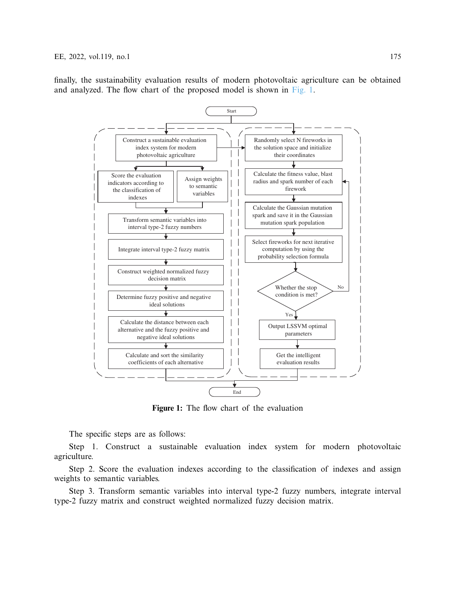finally, the sustainability evaluation results of modern photovoltaic agriculture can be obtained and analyzed. The flow chart of the proposed model is shown in [Fig. 1.](#page-12-0)



<span id="page-12-0"></span>**Figure 1:** The flow chart of the evaluation

The specific steps are as follows:

Step 1. Construct a sustainable evaluation index system for modern photovoltaic agriculture.

Step 2. Score the evaluation indexes according to the classification of indexes and assign weights to semantic variables.

Step 3. Transform semantic variables into interval type-2 fuzzy numbers, integrate interval type-2 fuzzy matrix and construct weighted normalized fuzzy decision matrix.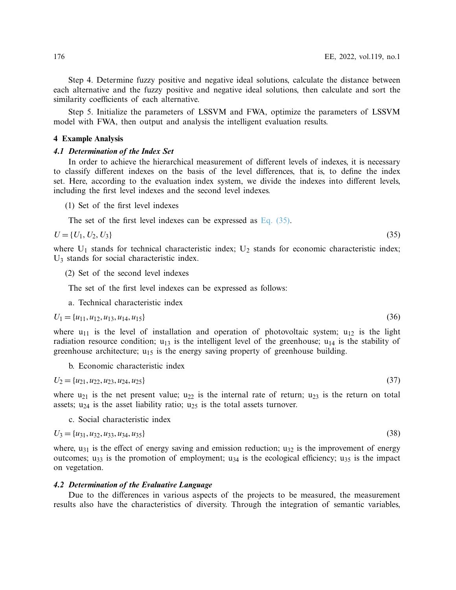Step 4. Determine fuzzy positive and negative ideal solutions, calculate the distance between each alternative and the fuzzy positive and negative ideal solutions, then calculate and sort the similarity coefficients of each alternative.

<span id="page-13-0"></span>Step 5. Initialize the parameters of LSSVM and FWA, optimize the parameters of LSSVM model with FWA, then output and analysis the intelligent evaluation results.

## **4 Example Analysis**

## *4.1 Determination of the Index Set*

In order to achieve the hierarchical measurement of different levels of indexes, it is necessary to classify different indexes on the basis of the level differences, that is, to define the index set. Here, according to the evaluation index system, we divide the indexes into different levels, including the first level indexes and the second level indexes.

(1) Set of the first level indexes

<span id="page-13-1"></span>The set of the first level indexes can be expressed as [Eq. \(35\).](#page-13-1)

$$
U = \{U_1, U_2, U_3\} \tag{35}
$$

where  $U_1$  stands for technical characteristic index;  $U_2$  stands for economic characteristic index; U3 stands for social characteristic index.

(2) Set of the second level indexes

The set of the first level indexes can be expressed as follows:

a. Technical characteristic index

$$
U_1 = \{u_{11}, u_{12}, u_{13}, u_{14}, u_{15}\}\tag{36}
$$

where  $u_{11}$  is the level of installation and operation of photovoltaic system;  $u_{12}$  is the light radiation resource condition;  $u_{13}$  is the intelligent level of the greenhouse;  $u_{14}$  is the stability of greenhouse architecture;  $u_{15}$  is the energy saving property of greenhouse building.

b. Economic characteristic index

$$
U_2 = \{u_{21}, u_{22}, u_{23}, u_{24}, u_{25}\}\tag{37}
$$

where  $u_{21}$  is the net present value;  $u_{22}$  is the internal rate of return;  $u_{23}$  is the return on total assets;  $u_{24}$  is the asset liability ratio;  $u_{25}$  is the total assets turnover.

c. Social characteristic index

$$
U_3 = \{u_{31}, u_{32}, u_{33}, u_{34}, u_{35}\}\tag{38}
$$

where,  $u_{31}$  is the effect of energy saving and emission reduction;  $u_{32}$  is the improvement of energy outcomes;  $u_{33}$  is the promotion of employment;  $u_{34}$  is the ecological efficiency;  $u_{35}$  is the impact on vegetation.

## *4.2 Determination of the Evaluative Language*

Due to the differences in various aspects of the projects to be measured, the measurement results also have the characteristics of diversity. Through the integration of semantic variables,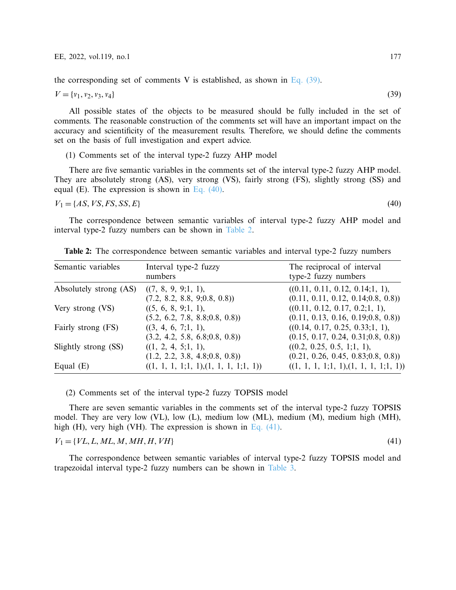the corresponding set of comments V is established, as shown in Eq.  $(39)$ .

$$
V = \{v_1, v_2, v_3, v_4\} \tag{39}
$$

All possible states of the objects to be measured should be fully included in the set of comments. The reasonable construction of the comments set will have an important impact on the accuracy and scientificity of the measurement results. Therefore, we should define the comments set on the basis of full investigation and expert advice.

<span id="page-14-1"></span><span id="page-14-0"></span>(1) Comments set of the interval type-2 fuzzy AHP model

There are five semantic variables in the comments set of the interval type-2 fuzzy AHP model. They are absolutely strong (AS), very strong (VS), fairly strong (FS), slightly strong (SS) and equal (E). The expression is shown in Eq.  $(40)$ .

 $V_1 = \{AS, VS, FS, SS, E\}$  (40)

The correspondence between semantic variables of interval type-2 fuzzy AHP model and interval type-2 fuzzy numbers can be shown in [Table 2.](#page-14-2)

| Semantic variables     | Interval type-2 fuzzy<br>numbers                       | The reciprocal of interval<br>type-2 fuzzy numbers                      |
|------------------------|--------------------------------------------------------|-------------------------------------------------------------------------|
| Absolutely strong (AS) | ((7, 8, 9, 9; 1, 1),<br>(7.2, 8.2, 8.8, 9; 0.8, 0.8)   | ((0.11, 0.11, 0.12, 0.14; 1, 1),<br>(0.11, 0.11, 0.12, 0.14; 0.8, 0.8)) |
| Very strong (VS)       | ((5, 6, 8, 9; 1, 1),<br>(5.2, 6.2, 7.8, 8.8; 0.8, 0.8) | ((0.11, 0.12, 0.17, 0.2; 1, 1),<br>(0.11, 0.13, 0.16, 0.19; 0.8, 0.8))  |
| Fairly strong (FS)     | ((3, 4, 6, 7; 1, 1),<br>(3.2, 4.2, 5.8, 6.8; 0.8, 0.8) | ((0.14, 0.17, 0.25, 0.33; 1, 1),<br>(0.15, 0.17, 0.24, 0.31; 0.8, 0.8)) |
| Slightly strong (SS)   | ((1, 2, 4, 5; 1, 1),<br>(1.2, 2.2, 3.8, 4.8; 0.8, 0.8) | ((0.2, 0.25, 0.5, 1; 1, 1),<br>(0.21, 0.26, 0.45, 0.83; 0.8, 0.8))      |
| Equal $(E)$            | ((1, 1, 1, 1, 1, 1), (1, 1, 1, 1, 1))                  | $((1, 1, 1, 1; 1, 1), (1, 1, 1, 1; 1, 1))$                              |

<span id="page-14-2"></span>**Table 2:** The correspondence between semantic variables and interval type-2 fuzzy numbers

(2) Comments set of the interval type-2 fuzzy TOPSIS model

There are seven semantic variables in the comments set of the interval type-2 fuzzy TOPSIS model. They are very low (VL), low (L), medium low (ML), medium (M), medium high (MH), high (H), very high (VH). The expression is shown in [Eq. \(41\).](#page-14-3)

 $V_1 = \{VL, L, ML, M, MH, H, VH\}$  (41)

<span id="page-14-3"></span>

The correspondence between semantic variables of interval type-2 fuzzy TOPSIS model and trapezoidal interval type-2 fuzzy numbers can be shown in [Table 3.](#page-15-0)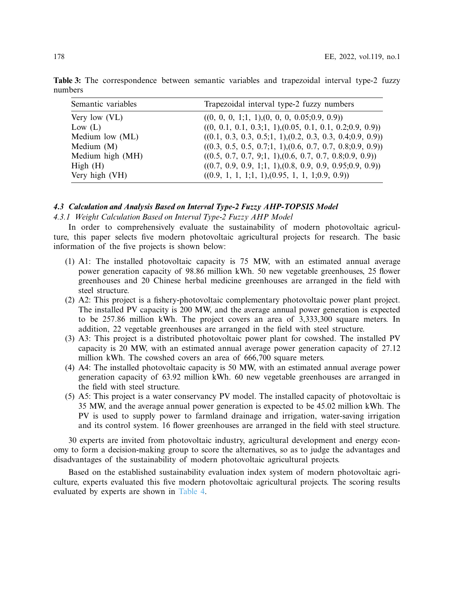| Semantic variables | Trapezoidal interval type-2 fuzzy numbers                      |
|--------------------|----------------------------------------------------------------|
| Very low (VL)      | $((0, 0, 0, 1; 1, 1), (0, 0, 0, 0.05; 0.9, 0.9))$              |
| Low $(L)$          | $((0, 0.1, 0.1, 0.3; 1, 1), (0.05, 0.1, 0.1, 0.2; 0.9, 0.9))$  |
| Medium low (ML)    | $((0.1, 0.3, 0.3, 0.5; 1, 1), (0.2, 0.3, 0.3, 0.4; 0.9, 0.9))$ |
| Medium $(M)$       | $((0.3, 0.5, 0.5, 0.7; 1, 1), (0.6, 0.7, 0.7, 0.8; 0.9, 0.9))$ |
| Medium high (MH)   | $((0.5, 0.7, 0.7, 9; 1, 1), (0.6, 0.7, 0.7, 0.8; 0.9, 0.9))$   |
| High(H)            | $((0.7, 0.9, 0.9, 1; 1, 1), (0.8, 0.9, 0.9, 0.95; 0.9, 0.9))$  |
| Very high (VH)     | $((0.9, 1, 1, 1; 1, 1), (0.95, 1, 1, 1; 0.9, 0.9))$            |

<span id="page-15-0"></span>**Table 3:** The correspondence between semantic variables and trapezoidal interval type-2 fuzzy numbers

## *4.3 Calculation and Analysis Based on Interval Type-2 Fuzzy AHP-TOPSIS Model*

## *4.3.1 Weight Calculation Based on Interval Type-2 Fuzzy AHP Model*

In order to comprehensively evaluate the sustainability of modern photovoltaic agriculture, this paper selects five modern photovoltaic agricultural projects for research. The basic information of the five projects is shown below:

- (1) A1: The installed photovoltaic capacity is 75 MW, with an estimated annual average power generation capacity of 98.86 million kWh. 50 new vegetable greenhouses, 25 flower greenhouses and 20 Chinese herbal medicine greenhouses are arranged in the field with steel structure.
- (2) A2: This project is a fishery-photovoltaic complementary photovoltaic power plant project. The installed PV capacity is 200 MW, and the average annual power generation is expected to be 257.86 million kWh. The project covers an area of 3,333,300 square meters. In addition, 22 vegetable greenhouses are arranged in the field with steel structure.
- (3) A3: This project is a distributed photovoltaic power plant for cowshed. The installed PV capacity is 20 MW, with an estimated annual average power generation capacity of 27.12 million kWh. The cowshed covers an area of 666,700 square meters.
- (4) A4: The installed photovoltaic capacity is 50 MW, with an estimated annual average power generation capacity of 63.92 million kWh. 60 new vegetable greenhouses are arranged in the field with steel structure.
- (5) A5: This project is a water conservancy PV model. The installed capacity of photovoltaic is 35 MW, and the average annual power generation is expected to be 45.02 million kWh. The PV is used to supply power to farmland drainage and irrigation, water-saving irrigation and its control system. 16 flower greenhouses are arranged in the field with steel structure.

30 experts are invited from photovoltaic industry, agricultural development and energy economy to form a decision-making group to score the alternatives, so as to judge the advantages and disadvantages of the sustainability of modern photovoltaic agricultural projects.

Based on the established sustainability evaluation index system of modern photovoltaic agriculture, experts evaluated this five modern photovoltaic agricultural projects. The scoring results evaluated by experts are shown in [Table 4.](#page-16-0)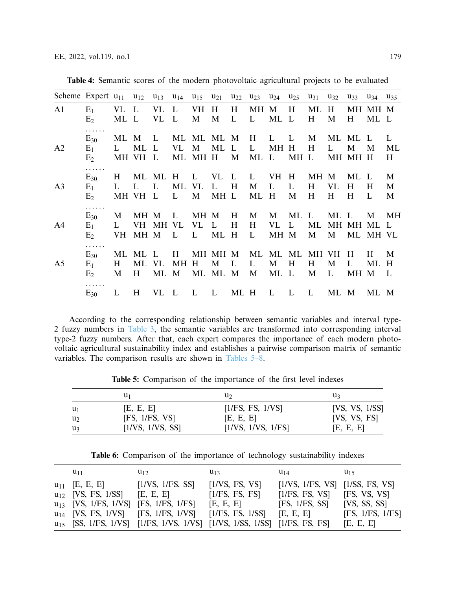| Scheme Expert $u_{11}$ |                                          |                  | $u_{12}$            | $u_{13}$                   | $u_{14}$       | $u_{15}$                | $u_{21}$          | $u_{22}$ | $u_{23}$     | $u_{24}$                       | $u_{25}$          | $u_{31}$       | $u_{32}$                 | $u_{33}$        | $u_{34}$               | $u_{35}$               |
|------------------------|------------------------------------------|------------------|---------------------|----------------------------|----------------|-------------------------|-------------------|----------|--------------|--------------------------------|-------------------|----------------|--------------------------|-----------------|------------------------|------------------------|
| A1                     | $E_1$<br>E <sub>2</sub>                  | VL<br>ML         | L<br>L              | VL<br>VL                   | L<br>L         | VH<br>M                 | H<br>M            | H<br>L   | MH<br>L      | M<br>ML                        | H<br>$\mathbf{L}$ | ML<br>H        | H<br>M                   | МH<br>H         | MH M<br>ML L           |                        |
| A <sub>2</sub>         | .<br>$E_{30}$<br>$E_1$<br>E <sub>2</sub> | ML<br>L<br>MH VH | M<br>ML             | L<br>L<br>L                | ML<br>VL<br>ML | ML<br>M<br>MH H         | ML M<br>ML        | L<br>M   | H<br>L<br>ML | L<br>MН<br>L                   | L<br>H<br>MH L    | M<br>H         | ML<br>L<br>MН            | ML<br>М<br>MH H | L<br>M                 | L<br>ML<br>H           |
| A <sub>3</sub>         | .<br>$E_{30}$<br>$E_1$<br>E <sub>2</sub> | H<br>L<br>MH VH  | $\mathbf{L}$        | ML ML<br>$\mathbf{L}$<br>L | H<br>ML<br>L   | $\mathbf{L}$<br>VL<br>M | VL<br>L<br>MH L   | L<br>H   | L<br>M<br>ML | <b>VH</b><br>$\mathbf{L}$<br>H | H<br>L<br>M       | MH M<br>H<br>H | VL<br>H                  | ML<br>H<br>Н    | $\mathbf{L}$<br>H<br>L | M<br>M<br>M            |
| A4                     | .<br>$E_{30}$<br>$E_1$<br>E <sub>2</sub> | M<br>L<br>VH     | MH M<br>VH.<br>MH M | MH VL                      | L<br>L         | MH M<br>VL<br>L         | L<br>ML H         | H<br>H   | M<br>H<br>L  | M<br>VL<br>MH M                | ML<br>L           | L<br>ML<br>M   | ML<br><b>MH</b><br>M     | L<br>MH         | M<br>ML<br>ML MH VL    | MН<br>L                |
| A <sub>5</sub>         | .<br>$E_{30}$<br>$E_1$<br>E <sub>2</sub> | ML<br>H<br>M     | ML<br>ML<br>H       | L<br>VL<br>ML              | H<br>MН<br>M   | МH<br>H<br>ML           | MH M<br>M<br>ML M | L        | ML<br>L<br>M | ML<br>M<br>ML L                | ML<br>H           | MН<br>H<br>M   | VH.<br>M<br>$\mathbf{L}$ | H<br>L<br>МH    | H<br>ML<br>M           | M<br>H<br>$\mathbf{L}$ |
|                        | .<br>$E_{30}$                            | L                | H                   | VL.                        | L              | L                       | L                 | ML H     |              | L                              | L                 | L              | ML M                     |                 | ML M                   |                        |

<span id="page-16-0"></span>**Table 4:** Semantic scores of the modern photovoltaic agricultural projects to be evaluated

According to the corresponding relationship between semantic variables and interval type-2 fuzzy numbers in [Table 3,](#page-15-0) the semantic variables are transformed into corresponding interval type-2 fuzzy numbers. After that, each expert compares the importance of each modern photovoltaic agricultural sustainability index and establishes a pairwise comparison matrix of semantic variables. The comparison results are shown in [Tables 5–](#page-16-1)[8.](#page-17-0)

**Table 5:** Comparison of the importance of the first level indexes

<span id="page-16-1"></span>

|                | u1               | u۶                 | u٩             |
|----------------|------------------|--------------------|----------------|
| $u_1$          | [E, E, E]        | [1/FS, FS, 1/VS]   | [VS, VS, 1/SS] |
| u <sub>2</sub> | [FS, 1/FS, VS]   | [E, E, E]          | [VS, VS, FS]   |
| U3             | [1/VS, 1/VS, SS] | [1/VS, 1/VS, 1/FS] | [E, E, E]      |

**Table 6:** Comparison of the importance of technology sustainability indexes

<span id="page-16-2"></span>

| $u_{11}$                                   | $u_{12}$                                                                              | $u_{13}$                     | $u_{14}$                            | $u_{15}$         |
|--------------------------------------------|---------------------------------------------------------------------------------------|------------------------------|-------------------------------------|------------------|
| $u_{11}$ [E, E, E]                         | [1/VS, 1/FS, SS]                                                                      | [1/VS, FS, VS]               | $[1/VS, 1/FS, VS]$ $[1/SS, FS, VS]$ |                  |
| $u_{12}$ [VS, FS, 1/SS] [E, E, E]          |                                                                                       | [1/FS, FS, FS]               | [1/FS, FS, VS]                      | [FS, VS, VS]     |
| $u_{13}$ [VS, 1/FS, 1/VS] [FS, 1/FS, 1/FS] |                                                                                       | [E, E, E]                    | [FS, 1/FS, SS]                      | [VS, SS, SS]     |
|                                            | $u_{14}$ [VS, FS, 1/VS] [FS, 1/FS, 1/VS]                                              | $[1/FS, FS, 1/SS]$ [E, E, E] |                                     | [FS, 1/FS, 1/FS] |
|                                            | u <sub>15</sub> [SS, 1/FS, 1/VS] [1/FS, 1/VS, 1/VS] [1/VS, 1/SS, 1/SS] [1/FS, FS, FS] |                              |                                     | [E, E, E]        |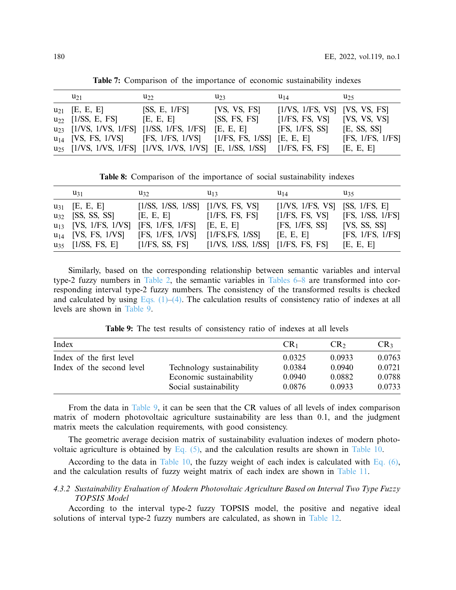| $u_{21}$                                              | $u_{22}$                                                                             | $u_{23}$     | $u_{14}$                          | $u_{25}$         |
|-------------------------------------------------------|--------------------------------------------------------------------------------------|--------------|-----------------------------------|------------------|
| $u_{21}$ [E, E, E]                                    | [SS, E, 1/FS]                                                                        | [VS, VS, FS] | $[1/VS, 1/FS, VS]$ $[VS, VS, FS]$ |                  |
| $u_{22}$ [1/SS, E, FS]                                | [E, E, E]                                                                            | [SS, FS, FS] | $[1/FS, FS, VS]$ $[VS, VS, VS]$   |                  |
| u <sub>23</sub> [1/VS, 1/VS, 1/FS] [1/SS, 1/FS, 1/FS] |                                                                                      | [E, E, E]    | $[FS, 1/FS, SS]$ $[E, SS, SS]$    |                  |
|                                                       | $u_{14}$ [VS, FS, 1/VS] [FS, 1/FS, 1/VS] [1/FS, FS, 1/SS] [E, E, E]                  |              |                                   | [FS, 1/FS, 1/FS] |
|                                                       | u <sub>25</sub> [1/VS, 1/VS, 1/FS] [1/VS, 1/VS, 1/VS] [E, 1/SS, 1/SS] [1/FS, FS, FS] |              |                                   | [E, E, E]        |

**Table 7:** Comparison of the importance of economic sustainability indexes

**Table 8:** Comparison of the importance of social sustainability indexes

<span id="page-17-0"></span>

| $u_{31}$                  | $u_{32}$                              | $u_{13}$                                                                       | $u_{14}$         | $u_{35}$         |
|---------------------------|---------------------------------------|--------------------------------------------------------------------------------|------------------|------------------|
| $u_{31}$ [E, E, E]        | $[1/SS, 1/SS, 1/SS]$ $[1/VS, FS, VS]$ |                                                                                | [1/VS, 1/FS, VS] | [SS, 1/FS, E]    |
| $u_{32}$ [SS, SS, SS]     | [E, E, E]                             | [1/FS, FS, FS]                                                                 | [1/FS, FS, VS]   | [FS, 1/SS, 1/FS] |
| $u_{13}$ [VS, 1/FS, 1/VS] | [FS, 1/FS, 1/FS]                      | [E, E, E]                                                                      | [FS, 1/FS, SS]   | [VS, SS, SS]     |
| $u_{14}$ [VS, FS, 1/VS]   | [FS, 1/FS, 1/VS]                      | [1/FS, FS, 1/SS]                                                               | [E, E, E]        | [FS, 1/FS, 1/FS] |
|                           |                                       | u <sub>35</sub> [1/SS, FS, E] [1/FS, SS, FS] [1/VS, 1/SS, 1/SS] [1/FS, FS, FS] |                  | [E, E, E]        |

Similarly, based on the corresponding relationship between semantic variables and interval type-2 fuzzy numbers in [Table 2,](#page-14-2) the semantic variables in [Tables 6](#page-16-2)[–8](#page-17-0) are transformed into corresponding interval type-2 fuzzy numbers. The consistency of the transformed results is checked and calculated by using Eqs.  $(1)$ – $(4)$ . The calculation results of consistency ratio of indexes at all levels are shown in [Table 9.](#page-17-1)

**Table 9:** The test results of consistency ratio of indexes at all levels

<span id="page-17-1"></span>

| Index                     |                           | CR <sub>1</sub> | CR <sub>2</sub> | CR <sub>3</sub> |
|---------------------------|---------------------------|-----------------|-----------------|-----------------|
| Index of the first level  |                           | 0.0325          | 0.0933          | 0.0763          |
| Index of the second level | Technology sustainability | 0.0384          | 0.0940          | 0.0721          |
|                           | Economic sustainability   | 0.0940          | 0.0882          | 0.0788          |
|                           | Social sustainability     | 0.0876          | 0.0933          | 0.0733          |
|                           |                           |                 |                 |                 |

From the data in [Table 9,](#page-17-1) it can be seen that the CR values of all levels of index comparison matrix of modern photovoltaic agriculture sustainability are less than 0.1, and the judgment matrix meets the calculation requirements, with good consistency.

The geometric average decision matrix of sustainability evaluation indexes of modern photovoltaic agriculture is obtained by Eq.  $(5)$ , and the calculation results are shown in [Table 10.](#page-18-0)

According to the data in [Table 10,](#page-18-0) the fuzzy weight of each index is calculated with Eq.  $(6)$ , and the calculation results of fuzzy weight matrix of each index are shown in [Table 11.](#page-18-1)

# *4.3.2 Sustainability Evaluation of Modern Photovoltaic Agriculture Based on Interval Two Type Fuzzy TOPSIS Model*

According to the interval type-2 fuzzy TOPSIS model, the positive and negative ideal solutions of interval type-2 fuzzy numbers are calculated, as shown in [Table 12.](#page-19-0)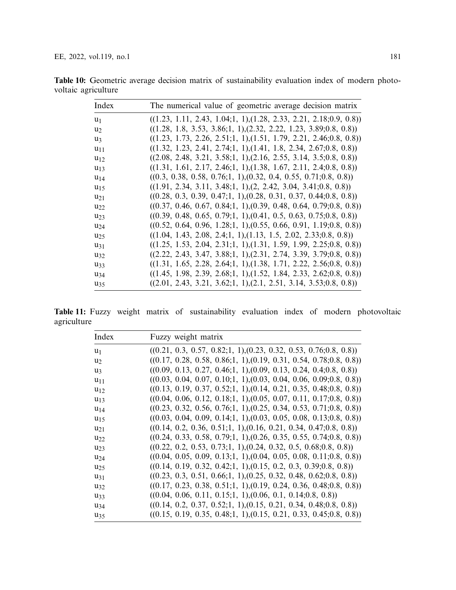| Index          | The numerical value of geometric average decision matrix               |
|----------------|------------------------------------------------------------------------|
| u <sub>1</sub> | $((1.23, 1.11, 2.43, 1.04; 1, 1), (1.28, 2.33, 2.21, 2.18; 0.9, 0.8))$ |
| u <sub>2</sub> | $((1.28, 1.8, 3.53, 3.86; 1, 1), (2.32, 2.22, 1.23, 3.89; 0.8, 0.8))$  |
| $u_3$          | $((1.23, 1.73, 2.26, 2.51; 1, 1), (1.51, 1.79, 2.21, 2.46; 0.8, 0.8))$ |
| $u_{11}$       | $((1.32, 1.23, 2.41, 2.74; 1, 1), (1.41, 1.8, 2.34, 2.67; 0.8, 0.8))$  |
| $u_{12}$       | $((2.08, 2.48, 3.21, 3.58; 1, 1), (2.16, 2.55, 3.14, 3.5; 0.8, 0.8))$  |
| $u_1$ 3        | $((1.31, 1.61, 2.17, 2.46; 1, 1), (1.38, 1.67, 2.11, 2.4; 0.8, 0.8))$  |
| $u_{14}$       | $((0.3, 0.38, 0.58, 0.76; 1, 1), (0.32, 0.4, 0.55, 0.71; 0.8, 0.8))$   |
| $u_1$          | $((1.91, 2.34, 3.11, 3.48; 1, 1), (2, 2.42, 3.04, 3.41; 0.8, 0.8))$    |
| $u_{21}$       | $((0.28, 0.3, 0.39, 0.47; 1, 1), (0.28, 0.31, 0.37, 0.44; 0.8, 0.8))$  |
| $u_{22}$       | $((0.37, 0.46, 0.67, 0.84; 1, 1), (0.39, 0.48, 0.64, 0.79; 0.8, 0.8))$ |
| $u_{23}$       | $((0.39, 0.48, 0.65, 0.79; 1, 1), (0.41, 0.5, 0.63, 0.75; 0.8, 0.8))$  |
| $u_{24}$       | $((0.52, 0.64, 0.96, 1.28; 1, 1), (0.55, 0.66, 0.91, 1.19; 0.8, 0.8))$ |
| $u_{25}$       | $((1.04, 1.43, 2.08, 2.4; 1, 1), (1.13, 1.5, 2.02, 2.33; 0.8, 0.8))$   |
| $u_{31}$       | $((1.25, 1.53, 2.04, 2.31; 1, 1), (1.31, 1.59, 1.99, 2.25; 0.8, 0.8))$ |
| $u_{32}$       | $((2.22, 2.43, 3.47, 3.88; 1, 1), (2.31, 2.74, 3.39, 3.79; 0.8, 0.8))$ |
| $u_{33}$       | $((1.31, 1.65, 2.28, 2.64; 1, 1), (1.38, 1.71, 2.22, 2.56; 0.8, 0.8))$ |
| $u_{34}$       | $((1.45, 1.98, 2.39, 2.68; 1, 1), (1.52, 1.84, 2.33, 2.62; 0.8, 0.8))$ |
| $u_{35}$       | $((2.01, 2.43, 3.21, 3.62; 1, 1), (2.1, 2.51, 3.14, 3.53; 0.8, 0.8))$  |

<span id="page-18-0"></span>**Table 10:** Geometric average decision matrix of sustainability evaluation index of modern photovoltaic agriculture

<span id="page-18-1"></span>**Table 11:** Fuzzy weight matrix of sustainability evaluation index of modern photovoltaic agriculture

| Index          | Fuzzy weight matrix                                                    |
|----------------|------------------------------------------------------------------------|
| $u_1$          | $((0.21, 0.3, 0.57, 0.82; 1, 1), (0.23, 0.32, 0.53, 0.76; 0.8, 0.8))$  |
| u <sub>2</sub> | $((0.17, 0.28, 0.58, 0.86; 1, 1), (0.19, 0.31, 0.54, 0.78; 0.8, 0.8))$ |
| U3             | $((0.09, 0.13, 0.27, 0.46; 1, 1), (0.09, 0.13, 0.24, 0.4; 0.8, 0.8))$  |
| $u_{11}$       | $((0.03, 0.04, 0.07, 0.10; 1, 1), (0.03, 0.04, 0.06, 0.09; 0.8, 0.8))$ |
| $u_{12}$       | $((0.13, 0.19, 0.37, 0.52; 1, 1), (0.14, 0.21, 0.35, 0.48; 0.8, 0.8))$ |
| $u_{13}$       | $((0.04, 0.06, 0.12, 0.18; 1, 1), (0.05, 0.07, 0.11, 0.17; 0.8, 0.8))$ |
| $u_{14}$       | $((0.23, 0.32, 0.56, 0.76; 1, 1), (0.25, 0.34, 0.53, 0.71; 0.8, 0.8))$ |
| $u_1$          | $((0.03, 0.04, 0.09, 0.14; 1, 1), (0.03, 0.05, 0.08, 0.13; 0.8, 0.8))$ |
| $u_{21}$       | $((0.14, 0.2, 0.36, 0.51; 1, 1), (0.16, 0.21, 0.34, 0.47; 0.8, 0.8))$  |
| $u_{22}$       | $((0.24, 0.33, 0.58, 0.79; 1, 1), (0.26, 0.35, 0.55, 0.74; 0.8, 0.8))$ |
| $u_{23}$       | $((0.22, 0.2, 0.53, 0.73; 1, 1), (0.24, 0.32, 0.5, 0.68; 0.8, 0.8))$   |
| $u_{24}$       | $((0.04, 0.05, 0.09, 0.13; 1, 1), (0.04, 0.05, 0.08, 0.11; 0.8, 0.8))$ |
| $u_{25}$       | $((0.14, 0.19, 0.32, 0.42; 1, 1), (0.15, 0.2, 0.3, 0.39; 0.8, 0.8))$   |
| $u_{31}$       | $((0.23, 0.3, 0.51, 0.66; 1, 1), (0.25, 0.32, 0.48, 0.62; 0.8, 0.8))$  |
| $u_{32}$       | $((0.17, 0.23, 0.38, 0.51; 1, 1), (0.19, 0.24, 0.36, 0.48; 0.8, 0.8))$ |
| $u_{33}$       | $((0.04, 0.06, 0.11, 0.15; 1, 1), (0.06, 0.1, 0.14; 0.8, 0.8))$        |
| $u_{34}$       | $((0.14, 0.2, 0.37, 0.52; 1, 1), (0.15, 0.21, 0.34, 0.48; 0.8, 0.8))$  |
| $u_{35}$       | $((0.15, 0.19, 0.35, 0.48; 1, 1), (0.15, 0.21, 0.33, 0.45; 0.8, 0.8))$ |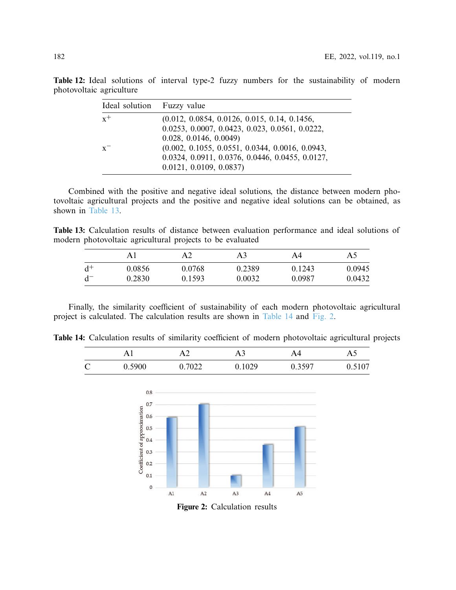| Ideal solution Fuzzy value |                                                   |
|----------------------------|---------------------------------------------------|
| $x^+$                      | $(0.012, 0.0854, 0.0126, 0.015, 0.14, 0.1456,$    |
|                            | 0.0253, 0.0007, 0.0423, 0.023, 0.0561, 0.0222,    |
|                            | 0.028, 0.0146, 0.0049                             |
| $x^{-}$                    | $(0.002, 0.1055, 0.0551, 0.0344, 0.0016, 0.0943,$ |
|                            | 0.0324, 0.0911, 0.0376, 0.0446, 0.0455, 0.0127,   |
|                            | 0.0121, 0.0109, 0.0837                            |

<span id="page-19-0"></span>**Table 12:** Ideal solutions of interval type-2 fuzzy numbers for the sustainability of modern photovoltaic agriculture

Combined with the positive and negative ideal solutions, the distance between modern photovoltaic agricultural projects and the positive and negative ideal solutions can be obtained, as shown in [Table 13.](#page-19-1)

<span id="page-19-1"></span>**Table 13:** Calculation results of distance between evaluation performance and ideal solutions of modern photovoltaic agricultural projects to be evaluated

|       | Αl     |        | A3     | A4     | A5     |
|-------|--------|--------|--------|--------|--------|
| $d^+$ | 0.0856 | 0.0768 | 0.2389 | 0.1243 | 0.0945 |
|       | 0.2830 | 0.1593 | 0.0032 | 0.0987 | 0.0432 |

Finally, the similarity coefficient of sustainability of each modern photovoltaic agricultural project is calculated. The calculation results are shown in [Table 14](#page-19-2) and [Fig. 2.](#page-19-3)

<span id="page-19-2"></span>**Table 14:** Calculation results of similarity coefficient of modern photovoltaic agricultural projects

|               |        |        |        | A4     | A۵     |
|---------------|--------|--------|--------|--------|--------|
| $\mathcal{C}$ | 0.5900 | 0.7022 | 0.1029 | 0.3597 | 0.5107 |



<span id="page-19-3"></span>**Figure 2:** Calculation results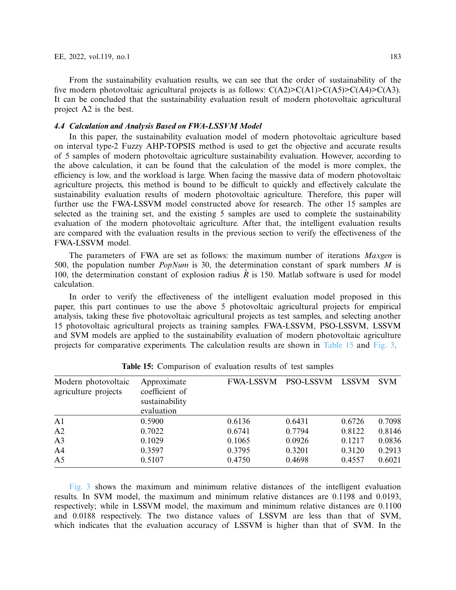From the sustainability evaluation results, we can see that the order of sustainability of the five modern photovoltaic agricultural projects is as follows:  $C(A2) > C(A1) > C(A3) > C(A3)$ . It can be concluded that the sustainability evaluation result of modern photovoltaic agricultural project A2 is the best.

## *4.4 Calculation and Analysis Based on FWA-LSSVM Model*

In this paper, the sustainability evaluation model of modern photovoltaic agriculture based on interval type-2 Fuzzy AHP-TOPSIS method is used to get the objective and accurate results of 5 samples of modern photovoltaic agriculture sustainability evaluation. However, according to the above calculation, it can be found that the calculation of the model is more complex, the efficiency is low, and the workload is large. When facing the massive data of modern photovoltaic agriculture projects, this method is bound to be difficult to quickly and effectively calculate the sustainability evaluation results of modern photovoltaic agriculture. Therefore, this paper will further use the FWA-LSSVM model constructed above for research. The other 15 samples are selected as the training set, and the existing 5 samples are used to complete the sustainability evaluation of the modern photovoltaic agriculture. After that, the intelligent evaluation results are compared with the evaluation results in the previous section to verify the effectiveness of the FWA-LSSVM model.

The parameters of FWA are set as follows: the maximum number of iterations *Maxgen* is 500, the population number *PopNum* is 30, the determination constant of spark numbers *M* is 100, the determination constant of explosion radius  $\hat{R}$  is 150. Matlab software is used for model calculation.

In order to verify the effectiveness of the intelligent evaluation model proposed in this paper, this part continues to use the above 5 photovoltaic agricultural projects for empirical analysis, taking these five photovoltaic agricultural projects as test samples, and selecting another 15 photovoltaic agricultural projects as training samples. FWA-LSSVM, PSO-LSSVM, LSSVM and SVM models are applied to the sustainability evaluation of modern photovoltaic agriculture projects for comparative experiments. The calculation results are shown in [Table 15](#page-20-0) and [Fig. 3.](#page-21-0)

<span id="page-20-0"></span>

| Modern photovoltaic<br>agriculture projects | Approximate<br>coefficient of<br>sustainability<br>evaluation | <b>FWA-LSSVM</b> | <b>PSO-LSSVM</b> | <b>LSSVM</b> | <b>SVM</b> |  |
|---------------------------------------------|---------------------------------------------------------------|------------------|------------------|--------------|------------|--|
| A <sub>1</sub>                              | 0.5900                                                        | 0.6136           | 0.6431           | 0.6726       | 0.7098     |  |
| A2                                          | 0.7022                                                        | 0.6741           | 0.7794           | 0.8122       | 0.8146     |  |
| A <sub>3</sub>                              | 0.1029                                                        | 0.1065           | 0.0926           | 0.1217       | 0.0836     |  |
| A <sub>4</sub>                              | 0.3597                                                        | 0.3795           | 0.3201           | 0.3120       | 0.2913     |  |
| A <sub>5</sub>                              | 0.5107                                                        | 0.4750           | 0.4698           | 0.4557       | 0.6021     |  |

| Table 15: Comparison of evaluation results of test samples |  |  |  |  |  |  |  |
|------------------------------------------------------------|--|--|--|--|--|--|--|
|------------------------------------------------------------|--|--|--|--|--|--|--|

[Fig. 3](#page-21-0) shows the maximum and minimum relative distances of the intelligent evaluation results. In SVM model, the maximum and minimum relative distances are 0.1198 and 0.0193, respectively; while in LSSVM model, the maximum and minimum relative distances are 0.1100 and 0.0188 respectively. The two distance values of LSSVM are less than that of SVM, which indicates that the evaluation accuracy of LSSVM is higher than that of SVM. In the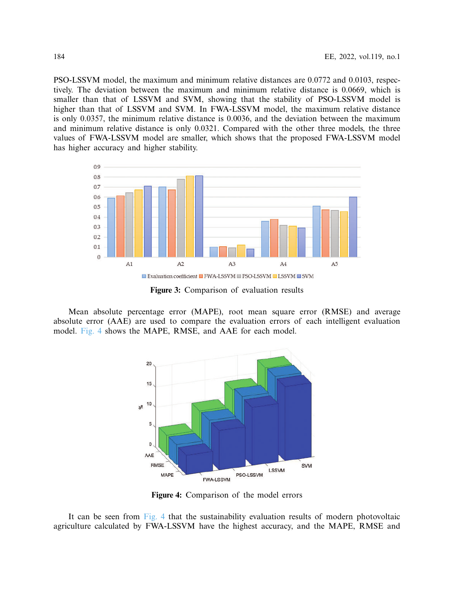PSO-LSSVM model, the maximum and minimum relative distances are 0.0772 and 0.0103, respectively. The deviation between the maximum and minimum relative distance is 0.0669, which is smaller than that of LSSVM and SVM, showing that the stability of PSO-LSSVM model is higher than that of LSSVM and SVM. In FWA-LSSVM model, the maximum relative distance is only 0.0357, the minimum relative distance is 0.0036, and the deviation between the maximum and minimum relative distance is only 0.0321. Compared with the other three models, the three values of FWA-LSSVM model are smaller, which shows that the proposed FWA-LSSVM model has higher accuracy and higher stability.



<span id="page-21-0"></span>**Figure 3:** Comparison of evaluation results

Mean absolute percentage error (MAPE), root mean square error (RMSE) and average absolute error (AAE) are used to compare the evaluation errors of each intelligent evaluation model. [Fig. 4](#page-21-1) shows the MAPE, RMSE, and AAE for each model.



<span id="page-21-1"></span>**Figure 4:** Comparison of the model errors

It can be seen from [Fig. 4](#page-21-1) that the sustainability evaluation results of modern photovoltaic agriculture calculated by FWA-LSSVM have the highest accuracy, and the MAPE, RMSE and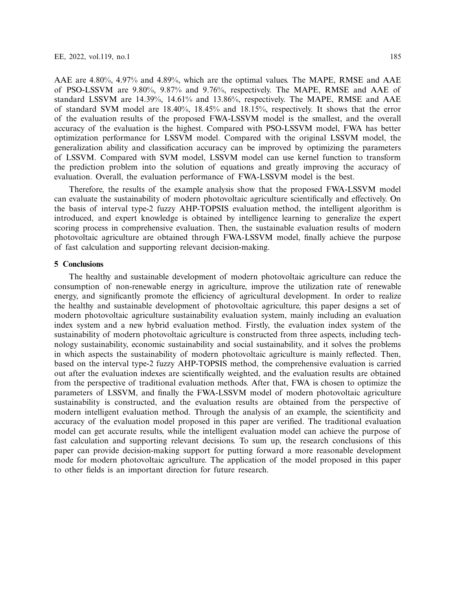AAE are 4.80%, 4.97% and 4.89%, which are the optimal values. The MAPE, RMSE and AAE of PSO-LSSVM are 9.80%, 9.87% and 9.76%, respectively. The MAPE, RMSE and AAE of standard LSSVM are 14.39%, 14.61% and 13.86%, respectively. The MAPE, RMSE and AAE of standard SVM model are 18.40%, 18.45% and 18.15%, respectively. It shows that the error of the evaluation results of the proposed FWA-LSSVM model is the smallest, and the overall accuracy of the evaluation is the highest. Compared with PSO-LSSVM model, FWA has better optimization performance for LSSVM model. Compared with the original LSSVM model, the generalization ability and classification accuracy can be improved by optimizing the parameters of LSSVM. Compared with SVM model, LSSVM model can use kernel function to transform the prediction problem into the solution of equations and greatly improving the accuracy of evaluation. Overall, the evaluation performance of FWA-LSSVM model is the best.

Therefore, the results of the example analysis show that the proposed FWA-LSSVM model can evaluate the sustainability of modern photovoltaic agriculture scientifically and effectively. On the basis of interval type-2 fuzzy AHP-TOPSIS evaluation method, the intelligent algorithm is introduced, and expert knowledge is obtained by intelligence learning to generalize the expert scoring process in comprehensive evaluation. Then, the sustainable evaluation results of modern photovoltaic agriculture are obtained through FWA-LSSVM model, finally achieve the purpose of fast calculation and supporting relevant decision-making.

#### <span id="page-22-0"></span>**5 Conclusions**

The healthy and sustainable development of modern photovoltaic agriculture can reduce the consumption of non-renewable energy in agriculture, improve the utilization rate of renewable energy, and significantly promote the efficiency of agricultural development. In order to realize the healthy and sustainable development of photovoltaic agriculture, this paper designs a set of modern photovoltaic agriculture sustainability evaluation system, mainly including an evaluation index system and a new hybrid evaluation method. Firstly, the evaluation index system of the sustainability of modern photovoltaic agriculture is constructed from three aspects, including technology sustainability, economic sustainability and social sustainability, and it solves the problems in which aspects the sustainability of modern photovoltaic agriculture is mainly reflected. Then, based on the interval type-2 fuzzy AHP-TOPSIS method, the comprehensive evaluation is carried out after the evaluation indexes are scientifically weighted, and the evaluation results are obtained from the perspective of traditional evaluation methods. After that, FWA is chosen to optimize the parameters of LSSVM, and finally the FWA-LSSVM model of modern photovoltaic agriculture sustainability is constructed, and the evaluation results are obtained from the perspective of modern intelligent evaluation method. Through the analysis of an example, the scientificity and accuracy of the evaluation model proposed in this paper are verified. The traditional evaluation model can get accurate results, while the intelligent evaluation model can achieve the purpose of fast calculation and supporting relevant decisions. To sum up, the research conclusions of this paper can provide decision-making support for putting forward a more reasonable development mode for modern photovoltaic agriculture. The application of the model proposed in this paper to other fields is an important direction for future research.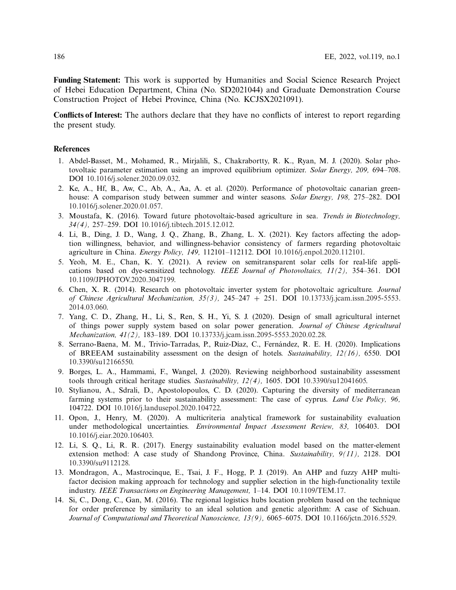**Funding Statement:** This work is supported by Humanities and Social Science Research Project of Hebei Education Department, China (No. SD2021044) and Graduate Demonstration Course Construction Project of Hebei Province, China (No. KCJSX2021091).

**Conflicts of Interest:** The authors declare that they have no conflicts of interest to report regarding the present study.

## **References**

- <span id="page-23-0"></span>1. Abdel-Basset, M., Mohamed, R., Mirjalili, S., Chakrabortty, R. K., Ryan, M. J. (2020). Solar photovoltaic parameter estimation using an improved equilibrium optimizer. *Solar Energy, 209,* 694–708. DOI [10.1016/j.solener.2020.09.032.](http://dx.doi.org/10.1016/j.solener.2020.09.032)
- <span id="page-23-1"></span>2. Ke, A., Hf, B., Aw, C., Ab, A., Aa, A. et al. (2020). Performance of photovoltaic canarian greenhouse: A comparison study between summer and winter seasons. *Solar Energy, 198,* 275–282. DOI [10.1016/j.solener.2020.01.057.](http://dx.doi.org/10.1016/j.solener.2020.01.057)
- <span id="page-23-2"></span>3. Moustafa, K. (2016). Toward future photovoltaic-based agriculture in sea. *Trends in Biotechnology, 34(4),* 257–259. DOI [10.1016/j.tibtech.2015.12.012.](http://dx.doi.org/10.1016/j.tibtech.2015.12.012)
- <span id="page-23-3"></span>4. Li, B., Ding, J. D., Wang, J. Q., Zhang, B., Zhang, L. X. (2021). Key factors affecting the adoption willingness, behavior, and willingness-behavior consistency of farmers regarding photovoltaic agriculture in China. *Energy Policy, 149,* 112101–112112. DOI [10.1016/j.enpol.2020.112101.](http://dx.doi.org/10.1016/j.enpol.2020.112101)
- <span id="page-23-4"></span>5. Yeoh, M. E., Chan, K. Y. (2021). A review on semitransparent solar cells for real-life applications based on dye-sensitized technology. *IEEE Journal of Photovoltaics, 11(2),* 354–361. DOI [10.1109/JPHOTOV.2020.3047199.](http://dx.doi.org/10.1109/JPHOTOV.2020.3047199)
- <span id="page-23-5"></span>6. Chen, X. R. (2014). Research on photovoltaic inverter system for photovoltaic agriculture. *Journal of Chinese Agricultural Mechanization, 35(3),* 245–247 + 251. DOI [10.13733/j.jcam.issn.2095-5553.](http://dx.doi.org/10.13733/j.jcam.issn.2095-5553.2014.03.060) [2014.03.060.](http://dx.doi.org/10.13733/j.jcam.issn.2095-5553.2014.03.060)
- <span id="page-23-6"></span>7. Yang, C. D., Zhang, H., Li, S., Ren, S. H., Yi, S. J. (2020). Design of small agricultural internet of things power supply system based on solar power generation. *Journal of Chinese Agricultural Mechanization, 41(2),* 183–189. DOI [10.13733/j.jcam.issn.2095-5553.2020.02.28.](http://dx.doi.org/10.13733/j.jcam.issn.2095-5553.2020.02.28)
- <span id="page-23-7"></span>8. Serrano-Baena, M. M., Trivio-Tarradas, P., Ruiz-Díaz, C., Fernández, R. E. H. (2020). Implications of BREEAM sustainability assessment on the design of hotels. *Sustainability, 12(16),* 6550. DOI [10.3390/su12166550.](http://dx.doi.org/10.3390/su12166550)
- 9. Borges, L. A., Hammami, F., Wangel, J. (2020). Reviewing neighborhood sustainability assessment tools through critical heritage studies. *Sustainability, 12(4),* 1605. DOI [10.3390/su12041605.](http://dx.doi.org/10.3390/su12041605)
- 10. Stylianou, A., Sdrali, D., Apostolopoulos, C. D. (2020). Capturing the diversity of mediterranean farming systems prior to their sustainability assessment: The case of cyprus. *Land Use Policy, 96,* 104722. DOI [10.1016/j.landusepol.2020.104722.](http://dx.doi.org/10.1016/j.landusepol.2020.104722)
- 11. Opon, J., Henry, M. (2020). A multicriteria analytical framework for sustainability evaluation under methodological uncertainties. *Environmental Impact Assessment Review, 83,* 106403. DOI [10.1016/j.eiar.2020.106403.](http://dx.doi.org/10.1016/j.eiar.2020.106403)
- <span id="page-23-8"></span>12. Li, S. Q., Li, R. R. (2017). Energy sustainability evaluation model based on the matter-element extension method: A case study of Shandong Province, China. *Sustainability, 9(11),* 2128. DOI [10.3390/su9112128.](http://dx.doi.org/10.3390/su9112128)
- <span id="page-23-9"></span>13. Mondragon, A., Mastrocinque, E., Tsai, J. F., Hogg, P. J. (2019). An AHP and fuzzy AHP multifactor decision making approach for technology and supplier selection in the high-functionality textile industry. *IEEE Transactions on Engineering Management,* 1–14. DOI [10.1109/TEM.17.](http://dx.doi.org/10.1109/TEM.17)
- <span id="page-23-10"></span>14. Si, C., Dong, C., Gan, M. (2016). The regional logistics hubs location problem based on the technique for order preference by similarity to an ideal solution and genetic algorithm: A case of Sichuan. *Journal of Computational and Theoretical Nanoscience, 13(9),* 6065–6075. DOI [10.1166/jctn.2016.5529.](http://dx.doi.org/10.1166/jctn.2016.5529)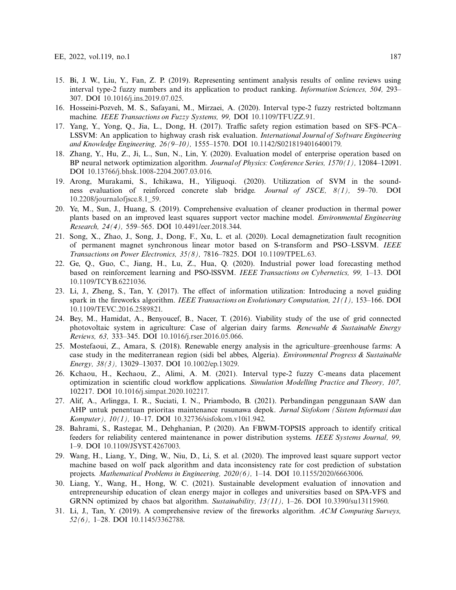- <span id="page-24-0"></span>15. Bi, J. W., Liu, Y., Fan, Z. P. (2019). Representing sentiment analysis results of online reviews using interval type-2 fuzzy numbers and its application to product ranking. *Information Sciences, 504,* 293– 307. DOI [10.1016/j.ins.2019.07.025.](http://dx.doi.org/10.1016/j.ins.2019.07.025)
- <span id="page-24-1"></span>16. Hosseini-Pozveh, M. S., Safayani, M., Mirzaei, A. (2020). Interval type-2 fuzzy restricted boltzmann machine. *IEEE Transactions on Fuzzy Systems, 99,* DOI [10.1109/TFUZZ.91.](http://dx.doi.org/10.1109/TFUZZ.91)
- <span id="page-24-2"></span>17. Yang, Y., Yong, Q., Jia, L., Dong, H. (2017). Traffic safety region estimation based on SFS–PCA– LSSVM: An application to highway crash risk evaluation. *International Journal of Software Engineering and Knowledge Engineering, 26(9–10),* 1555–1570. DOI [10.1142/S0218194016400179.](http://dx.doi.org/10.1142/S0218194016400179)
- <span id="page-24-3"></span>18. Zhang, Y., Hu, Z., Ji, L., Sun, N., Lin, Y. (2020). Evaluation model of enterprise operation based on BP neural network optimization algorithm. *Journal of Physics: Conference Series, 1570(1),* 12084–12091. DOI [10.13766/j.bhsk.1008-2204.2007.03.016.](http://dx.doi.org/10.13766/j.bhsk.1008-2204.2007.03.016)
- 19. Arong, Murakami, S., Ichikawa, H., Yiliguoqi. (2020). Utilizzation of SVM in the soundness evaluation of reinforced concrete slab bridge. *Journal of JSCE, 8(1),* 59–70. DOI [10.2208/journalofjsce.8.1\\_59.](http://dx.doi.org/10.2208/journalofjsce.8.1_59)
- <span id="page-24-4"></span>20. Ye, M., Sun, J., Huang, S. (2019). Comprehensive evaluation of cleaner production in thermal power plants based on an improved least squares support vector machine model. *Environmental Engineering Research, 24(4),* 559–565. DOI [10.4491/eer.2018.344.](http://dx.doi.org/10.4491/eer.2018.344)
- <span id="page-24-5"></span>21. Song, X., Zhao, J., Song, J., Dong, F., Xu, L. et al. (2020). Local demagnetization fault recognition of permanent magnet synchronous linear motor based on S-transform and PSO–LSSVM. *IEEE Transactions on Power Electronics, 35(8),* 7816–7825. DOI [10.1109/TPEL.63.](http://dx.doi.org/10.1109/TPEL.63)
- <span id="page-24-6"></span>22. Ge, Q., Guo, C., Jiang, H., Lu, Z., Hua, Q. (2020). Industrial power load forecasting method based on reinforcement learning and PSO-lSSVM. *IEEE Transactions on Cybernetics, 99,* 1–13. DOI [10.1109/TCYB.6221036.](http://dx.doi.org/10.1109/TCYB.6221036)
- <span id="page-24-7"></span>23. Li, J., Zheng, S., Tan, Y. (2017). The effect of information utilization: Introducing a novel guiding spark in the fireworks algorithm. *IEEE Transactions on Evolutionary Computation, 21(1),* 153–166. DOI [10.1109/TEVC.2016.2589821.](http://dx.doi.org/10.1109/TEVC.2016.2589821)
- <span id="page-24-8"></span>24. Bey, M., Hamidat, A., Benyoucef, B., Nacer, T. (2016). Viability study of the use of grid connected photovoltaic system in agriculture: Case of algerian dairy farms. *Renewable & Sustainable Energy Reviews, 63,* 333–345. DOI [10.1016/j.rser.2016.05.066.](http://dx.doi.org/10.1016/j.rser.2016.05.066)
- <span id="page-24-9"></span>25. Mostefaoui, Z., Amara, S. (2018). Renewable energy analysis in the agriculture–greenhouse farms: A case study in the mediterranean region (sidi bel abbes, Algeria). *Environmental Progress & Sustainable Energy, 38(3),* 13029–13037. DOI [10.1002/ep.13029.](http://dx.doi.org/10.1002/ep.13029)
- <span id="page-24-10"></span>26. Kchaou, H., Kechaou, Z., Alimi, A. M. (2021). Interval type-2 fuzzy C-means data placement optimization in scientific cloud workflow applications. *Simulation Modelling Practice and Theory, 107,* 102217. DOI [10.1016/j.simpat.2020.102217.](http://dx.doi.org/10.1016/j.simpat.2020.102217)
- <span id="page-24-11"></span>27. Alif, A., Arlingga, I. R., Suciati, I. N., Priambodo, B. (2021). Perbandingan penggunaan SAW dan AHP untuk penentuan prioritas maintenance rusunawa depok. *Jurnal Sisfokom (Sistem Informasi dan Komputer), 10(1),* 10–17. DOI [10.32736/sisfokom.v10i1.942.](http://dx.doi.org/10.32736/sisfokom.v10i1.942)
- <span id="page-24-12"></span>28. Bahrami, S., Rastegar, M., Dehghanian, P. (2020). An FBWM-TOPSIS approach to identify critical feeders for reliability centered maintenance in power distribution systems. *IEEE Systems Journal, 99,* 1–9. DOI [10.1109/JSYST.4267003.](http://dx.doi.org/10.1109/JSYST.4267003)
- <span id="page-24-13"></span>29. Wang, H., Liang, Y., Ding, W., Niu, D., Li, S. et al. (2020). The improved least square support vector machine based on wolf pack algorithm and data inconsistency rate for cost prediction of substation projects. *Mathematical Problems in Engineering, 2020(6),* 1–14. DOI [10.1155/2020/6663006.](http://dx.doi.org/10.1155/2020/6663006)
- <span id="page-24-14"></span>30. Liang, Y., Wang, H., Hong, W. C. (2021). Sustainable development evaluation of innovation and entrepreneurship education of clean energy major in colleges and universities based on SPA-VFS and GRNN optimized by chaos bat algorithm. *Sustainability, 13(11),* 1–26. DOI [10.3390/su13115960.](http://dx.doi.org/10.3390/su13115960)
- <span id="page-24-15"></span>31. Li, J., Tan, Y. (2019). A comprehensive review of the fireworks algorithm. *ACM Computing Surveys, 52(6),* 1–28. DOI [10.1145/3362788.](http://dx.doi.org/10.1145/3362788)